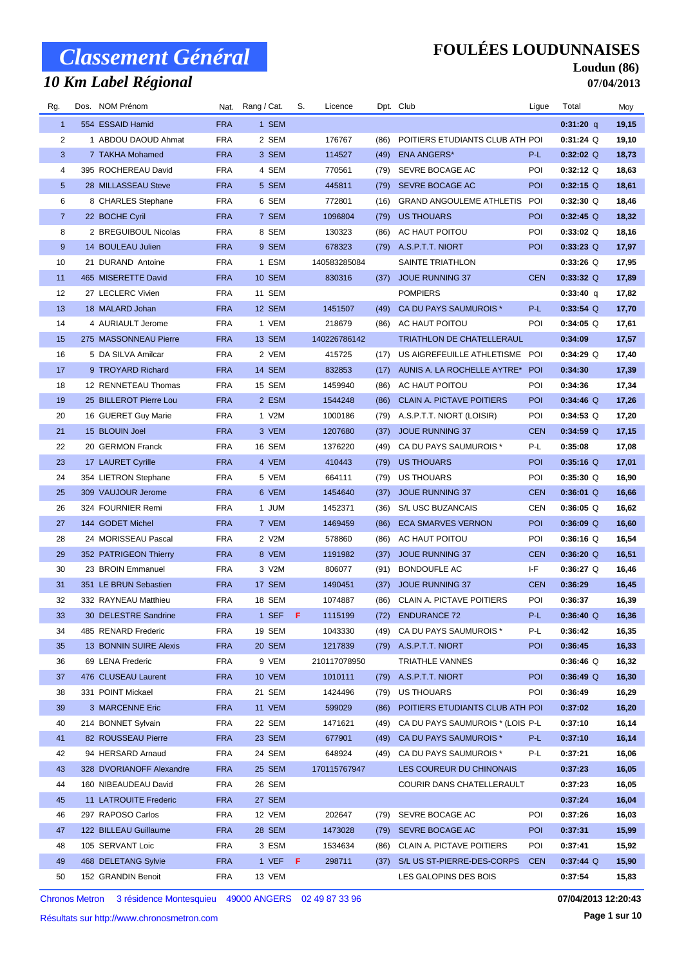# *10 Km Label Régional*

### **FOULÉES LOUDUNNAISES**

#### **Loudun (86) 07/04/2013**

| Rg.             | Dos. NOM Prénom                               |                          | Nat. Rang / Cat. | S.  | Licence                |      | Dpt. Club                                        | Ligue      | Total              | Moy            |
|-----------------|-----------------------------------------------|--------------------------|------------------|-----|------------------------|------|--------------------------------------------------|------------|--------------------|----------------|
| $\mathbf{1}$    | 554 ESSAID Hamid                              | <b>FRA</b>               | 1 SEM            |     |                        |      |                                                  |            | $0:31:20$ q        | 19,15          |
| 2               | 1 ABDOU DAOUD Ahmat                           | <b>FRA</b>               | 2 SEM            |     | 176767                 | (86) | POITIERS ETUDIANTS CLUB ATH POI                  |            | $0:31:24$ Q        | 19,10          |
| 3               | 7 TAKHA Mohamed                               | <b>FRA</b>               | 3 SEM            |     | 114527                 | (49) | <b>ENA ANGERS*</b>                               | P-L        | $0:32:02$ Q        | 18,73          |
| 4               | 395 ROCHEREAU David                           | <b>FRA</b>               | 4 SEM            |     | 770561                 | (79) | SEVRE BOCAGE AC                                  | POI        | $0:32:12$ Q        | 18,63          |
| $5\overline{)}$ | 28 MILLASSEAU Steve                           | <b>FRA</b>               | 5 SEM            |     | 445811                 | (79) | SEVRE BOCAGE AC                                  | POI        | $0:32:15$ Q        | 18,61          |
| 6               | 8 CHARLES Stephane                            | <b>FRA</b>               | 6 SEM            |     | 772801                 | (16) | GRAND ANGOULEME ATHLETIS POI                     |            | $0:32:30$ Q        | 18,46          |
| $\overline{7}$  | 22 BOCHE Cyril                                | <b>FRA</b>               | 7 SEM            |     | 1096804                | (79) | <b>US THOUARS</b>                                | <b>POI</b> | $0:32:45$ Q        | 18,32          |
| 8               | 2 BREGUIBOUL Nicolas                          | <b>FRA</b>               | 8 SEM            |     | 130323                 | (86) | AC HAUT POITOU                                   | POI        | $0:33:02$ Q        | 18,16          |
| $9\,$           | 14 BOULEAU Julien                             | <b>FRA</b>               | 9 SEM            |     | 678323                 | (79) | A.S.P.T.T. NIORT                                 | POI        | $0:33:23$ Q        | 17,97          |
| 10              | 21 DURAND Antoine                             | <b>FRA</b>               | 1 ESM            |     | 140583285084           |      | SAINTE TRIATHLON                                 |            | $0:33:26$ Q        | 17,95          |
| 11              | 465 MISERETTE David                           | <b>FRA</b>               | <b>10 SEM</b>    |     | 830316                 | (37) | <b>JOUE RUNNING 37</b>                           | <b>CEN</b> | $0:33:32$ Q        | 17,89          |
| 12              | 27 LECLERC Vivien                             | <b>FRA</b>               | 11 SEM           |     |                        |      | <b>POMPIERS</b>                                  |            | 0:33:40 q          | 17,82          |
| 13              | 18 MALARD Johan                               | <b>FRA</b>               | 12 SEM           |     | 1451507                | (49) | CA DU PAYS SAUMUROIS *                           | P-L        | $0:33:54$ Q        | 17,70          |
| 14              | 4 AURIAULT Jerome                             | <b>FRA</b>               | 1 VEM            |     | 218679                 | (86) | AC HAUT POITOU                                   | POI        | $0:34:05$ Q        | 17,61          |
| 15              | 275 MASSONNEAU Pierre                         | <b>FRA</b>               | 13 SEM           |     | 140226786142           |      | TRIATHLON DE CHATELLERAUL                        |            | 0:34:09            | 17,57          |
| 16              | 5 DA SILVA Amilcar                            | <b>FRA</b>               | 2 VEM            |     | 415725                 | (17) | US AIGREFEUILLE ATHLETISME POI                   |            | $0:34:29$ Q        | 17,40          |
| 17              | 9 TROYARD Richard                             | <b>FRA</b>               | 14 SEM           |     | 832853                 | (17) | AUNIS A. LA ROCHELLE AYTRE*                      | <b>POI</b> | 0:34:30            | 17,39          |
| 18              | 12 RENNETEAU Thomas                           | <b>FRA</b>               | 15 SEM           |     | 1459940                | (86) | AC HAUT POITOU                                   | POI        | 0:34:36            | 17,34          |
| 19              | 25 BILLEROT Pierre Lou                        | <b>FRA</b>               | 2 ESM            |     | 1544248                | (86) | <b>CLAIN A. PICTAVE POITIERS</b>                 | <b>POI</b> | $0:34:46$ Q        | 17,26          |
| 20              | 16 GUERET Guy Marie                           | <b>FRA</b>               | 1 V2M            |     | 1000186                | (79) | A.S.P.T.T. NIORT (LOISIR)                        | POI        | $0:34:53$ Q        | 17,20          |
| 21              | 15 BLOUIN Joel                                | <b>FRA</b>               | 3 VEM            |     | 1207680                | (37) | <b>JOUE RUNNING 37</b>                           | <b>CEN</b> | $0:34:59$ Q        | 17,15          |
| 22              | 20 GERMON Franck                              | <b>FRA</b>               | 16 SEM           |     | 1376220                | (49) | CA DU PAYS SAUMUROIS *                           | P-L        | 0:35:08            | 17,08          |
| 23              | 17 LAURET Cyrille                             | <b>FRA</b>               | 4 VEM            |     | 410443                 | (79) | <b>US THOUARS</b>                                | <b>POI</b> | $0:35:16$ Q        | 17,01          |
| 24              | 354 LIETRON Stephane                          | <b>FRA</b>               | 5 VEM            |     | 664111                 | (79) | US THOUARS                                       | POI        | $0:35:30$ Q        | 16,90          |
| 25              | 309 VAUJOUR Jerome                            | <b>FRA</b>               | 6 VEM            |     | 1454640                | (37) | <b>JOUE RUNNING 37</b>                           | <b>CEN</b> | $0:36:01$ Q        | 16,66          |
| 26              | 324 FOURNIER Remi                             | <b>FRA</b>               | 1 JUM            |     | 1452371                | (36) | S/L USC BUZANCAIS                                | CEN        | $0:36:05$ Q        | 16,62          |
| 27              | 144 GODET Michel                              | <b>FRA</b>               | 7 VEM            |     | 1469459                | (86) | <b>ECA SMARVES VERNON</b>                        | <b>POI</b> | $0:36:09$ Q        | 16,60          |
| 28              | 24 MORISSEAU Pascal                           | <b>FRA</b>               | 2 V2M            |     | 578860                 | (86) | AC HAUT POITOU                                   | POI        | $0:36:16$ Q        | 16,54          |
| 29              | 352 PATRIGEON Thierry                         | <b>FRA</b>               | 8 VEM            |     | 1191982                | (37) | <b>JOUE RUNNING 37</b>                           | <b>CEN</b> | $0:36:20$ Q        | 16,51          |
| 30              | 23 BROIN Emmanuel                             | <b>FRA</b>               | 3 V2M            |     | 806077                 | (91) | BONDOUFLE AC                                     | I-F        | $0:36:27$ Q        | 16,46          |
| 31              | 351 LE BRUN Sebastien                         | <b>FRA</b>               | 17 SEM           |     | 1490451                | (37) | JOUE RUNNING 37                                  | <b>CEN</b> | 0:36:29            | 16,45          |
| 32              | 332 RAYNEAU Matthieu                          | <b>FRA</b>               | 18 SEM           |     | 1074887                | (86) | CLAIN A. PICTAVE POITIERS                        | POI        | 0:36:37            | 16,39          |
| 33              | 30 DELESTRE Sandrine                          | <b>FRA</b>               | 1 SEF            | - F | 1115199                | (72) | <b>ENDURANCE 72</b>                              | P-L        | $0:36:40$ Q        | 16,36          |
| 34              | 485 RENARD Frederic                           | <b>FRA</b>               | 19 SEM           |     | 1043330                | (49) | CA DU PAYS SAUMUROIS *                           | P-L        | 0:36:42            | 16,35          |
| 35              | 13 BONNIN SUIRE Alexis                        | <b>FRA</b>               | 20 SEM           |     | 1217839                | (79) | A.S.P.T.T. NIORT                                 | <b>POI</b> | 0:36:45            | 16,33          |
| 36              | 69 LENA Frederic                              | <b>FRA</b>               | 9 VEM            |     | 210117078950           |      | TRIATHLE VANNES                                  |            | $0:36:46$ Q        | 16,32          |
| 37              | 476 CLUSEAU Laurent                           | <b>FRA</b>               | <b>10 VEM</b>    |     | 1010111                | (79) | A.S.P.T.T. NIORT                                 | <b>POI</b> | $0:36:49$ Q        | 16,30          |
| 38              | 331 POINT Mickael                             | <b>FRA</b>               | 21 SEM           |     | 1424496                | (79) | US THOUARS                                       | POI        | 0:36:49            | 16,29          |
| 39              | 3 MARCENNE Eric                               | <b>FRA</b>               | 11 VEM           |     | 599029                 | (86) | POITIERS ETUDIANTS CLUB ATH POI                  |            | 0:37:02            | 16,20          |
| 40              | 214 BONNET Sylvain                            | <b>FRA</b>               | 22 SEM           |     | 1471621                | (49) | CA DU PAYS SAUMUROIS * (LOIS P-L                 |            | 0:37:10            | 16,14          |
| 41              | 82 ROUSSEAU Pierre                            | <b>FRA</b>               | 23 SEM           |     | 677901                 | (49) | CA DU PAYS SAUMUROIS *<br>CA DU PAYS SAUMUROIS * | P-L        | 0:37:10            | 16,14          |
| 42<br>43        | 94 HERSARD Arnaud<br>328 DVORIANOFF Alexandre | <b>FRA</b><br><b>FRA</b> | 24 SEM<br>25 SEM |     | 648924<br>170115767947 | (49) | LES COUREUR DU CHINONAIS                         | P-L        | 0:37:21<br>0:37:23 | 16,06          |
| 44              | 160 NIBEAUDEAU David                          | <b>FRA</b>               | 26 SEM           |     |                        |      | COURIR DANS CHATELLERAULT                        |            | 0:37:23            | 16,05<br>16,05 |
| 45              | 11 LATROUITE Frederic                         | <b>FRA</b>               | 27 SEM           |     |                        |      |                                                  |            | 0:37:24            | 16,04          |
| 46              | 297 RAPOSO Carlos                             | <b>FRA</b>               | 12 VEM           |     | 202647                 | (79) | SEVRE BOCAGE AC                                  | POI        | 0:37:26            | 16,03          |
| 47              | 122 BILLEAU Guillaume                         | <b>FRA</b>               | 28 SEM           |     | 1473028                | (79) | SEVRE BOCAGE AC                                  | <b>POI</b> | 0:37:31            | 15,99          |
| 48              | 105 SERVANT Loic                              | <b>FRA</b>               | 3 ESM            |     | 1534634                | (86) | CLAIN A. PICTAVE POITIERS                        | POI        | 0:37:41            | 15,92          |
| 49              | 468 DELETANG Sylvie                           | <b>FRA</b>               | 1 VEF            | F.  | 298711                 | (37) | S/L US ST-PIERRE-DES-CORPS                       | <b>CEN</b> | $0:37:44$ Q        | 15,90          |
| 50              | 152 GRANDIN Benoit                            | FRA                      | 13 VEM           |     |                        |      | LES GALOPINS DES BOIS                            |            | 0:37:54            | 15,83          |
|                 |                                               |                          |                  |     |                        |      |                                                  |            |                    |                |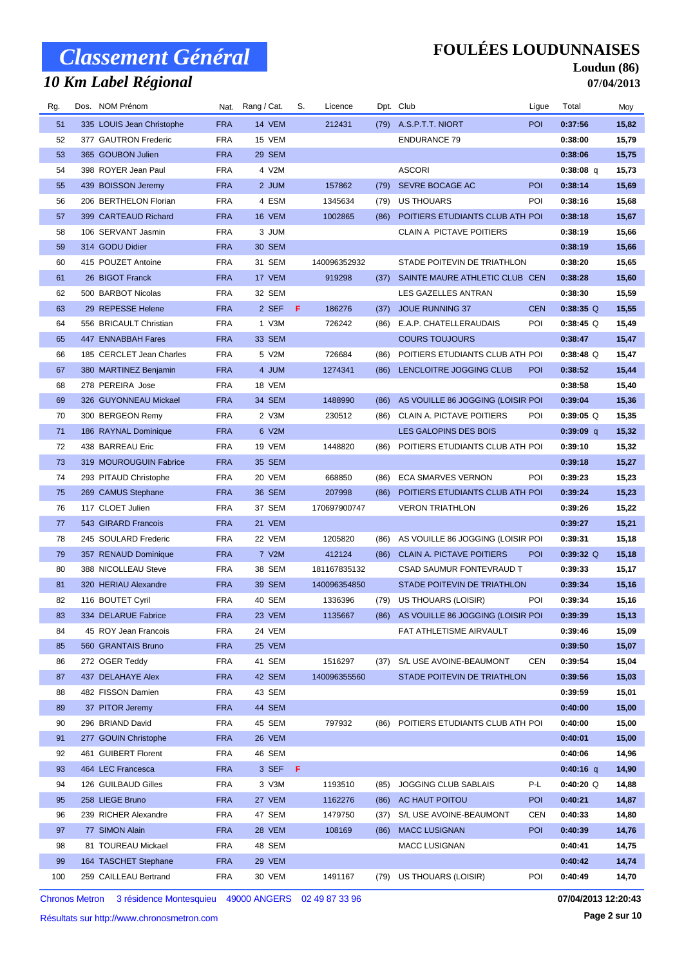# *10 Km Label Régional*

### **FOULÉES LOUDUNNAISES**

#### **Loudun (86) 07/04/2013**

| Rg. | Dos. NOM Prénom           |            | Nat. Rang / Cat. | S. | Licence      |      | Dpt. Club                              | Ligue      | Total       | Moy   |
|-----|---------------------------|------------|------------------|----|--------------|------|----------------------------------------|------------|-------------|-------|
| 51  | 335 LOUIS Jean Christophe | <b>FRA</b> | 14 VEM           |    | 212431       | (79) | A.S.P.T.T. NIORT                       | <b>POI</b> | 0:37:56     | 15,82 |
| 52  | 377 GAUTRON Frederic      | <b>FRA</b> | 15 VEM           |    |              |      | <b>ENDURANCE 79</b>                    |            | 0:38:00     | 15,79 |
| 53  | 365 GOUBON Julien         | <b>FRA</b> | 29 SEM           |    |              |      |                                        |            | 0:38:06     | 15,75 |
| 54  | 398 ROYER Jean Paul       | <b>FRA</b> | 4 V2M            |    |              |      | <b>ASCORI</b>                          |            | $0:38:08$ q | 15,73 |
| 55  | 439 BOISSON Jeremy        | <b>FRA</b> | 2 JUM            |    | 157862       | (79) | SEVRE BOCAGE AC                        | <b>POI</b> | 0:38:14     | 15,69 |
| 56  | 206 BERTHELON Florian     | <b>FRA</b> | 4 ESM            |    | 1345634      | (79) | US THOUARS                             | POI        | 0:38:16     | 15,68 |
| 57  | 399 CARTEAUD Richard      | <b>FRA</b> | 16 VEM           |    | 1002865      | (86) | POITIERS ETUDIANTS CLUB ATH POI        |            | 0:38:18     | 15,67 |
| 58  | 106 SERVANT Jasmin        | <b>FRA</b> | 3 JUM            |    |              |      | CLAIN A PICTAVE POITIERS               |            | 0:38:19     | 15,66 |
| 59  | 314 GODU Didier           | <b>FRA</b> | 30 SEM           |    |              |      |                                        |            | 0:38:19     | 15,66 |
| 60  | 415 POUZET Antoine        | <b>FRA</b> | 31 SEM           |    | 140096352932 |      | STADE POITEVIN DE TRIATHLON            |            | 0:38:20     | 15,65 |
| 61  | 26 BIGOT Franck           | <b>FRA</b> | 17 VEM           |    | 919298       |      | (37) SAINTE MAURE ATHLETIC CLUB CEN    |            | 0:38:28     | 15,60 |
| 62  | 500 BARBOT Nicolas        | <b>FRA</b> | 32 SEM           |    |              |      | LES GAZELLES ANTRAN                    |            | 0:38:30     | 15,59 |
| 63  | 29 REPESSE Helene         | <b>FRA</b> | 2 SEF            | F. | 186276       | (37) | <b>JOUE RUNNING 37</b>                 | <b>CEN</b> | $0:38:35$ Q | 15,55 |
| 64  | 556 BRICAULT Christian    | <b>FRA</b> | 1 V3M            |    | 726242       | (86) | E.A.P. CHATELLERAUDAIS                 | POI        | $0:38:45$ Q | 15,49 |
| 65  | 447 ENNABBAH Fares        | <b>FRA</b> | 33 SEM           |    |              |      | <b>COURS TOUJOURS</b>                  |            | 0:38:47     | 15,47 |
| 66  | 185 CERCLET Jean Charles  | <b>FRA</b> | 5 V2M            |    | 726684       | (86) | POITIERS ETUDIANTS CLUB ATH POI        |            | $0:38:48$ Q | 15,47 |
| 67  | 380 MARTINEZ Benjamin     | <b>FRA</b> | 4 JUM            |    | 1274341      | (86) | LENCLOITRE JOGGING CLUB                | <b>POI</b> | 0:38:52     | 15,44 |
| 68  | 278 PEREIRA Jose          | <b>FRA</b> | 18 VEM           |    |              |      |                                        |            | 0:38:58     | 15,40 |
| 69  | 326 GUYONNEAU Mickael     | <b>FRA</b> | 34 SEM           |    | 1488990      | (86) | AS VOUILLE 86 JOGGING (LOISIR POI      |            | 0:39:04     | 15,36 |
| 70  | 300 BERGEON Remy          | <b>FRA</b> | 2 V3M            |    | 230512       |      | (86) CLAIN A. PICTAVE POITIERS         | POI        | $0:39:05$ Q | 15,35 |
| 71  | 186 RAYNAL Dominique      | <b>FRA</b> | 6 V2M            |    |              |      | LES GALOPINS DES BOIS                  |            | $0:39:09$ q | 15,32 |
| 72  | 438 BARREAU Eric          | <b>FRA</b> | 19 VEM           |    | 1448820      | (86) | POITIERS ETUDIANTS CLUB ATH POI        |            | 0:39:10     | 15,32 |
| 73  | 319 MOUROUGUIN Fabrice    | <b>FRA</b> | 35 SEM           |    |              |      |                                        |            | 0:39:18     | 15,27 |
| 74  | 293 PITAUD Christophe     | <b>FRA</b> | 20 VEM           |    | 668850       | (86) | ECA SMARVES VERNON                     | POI        | 0:39:23     | 15,23 |
| 75  | 269 CAMUS Stephane        | <b>FRA</b> | 36 SEM           |    | 207998       | (86) | POITIERS ETUDIANTS CLUB ATH POI        |            | 0:39:24     | 15,23 |
| 76  | 117 CLOET Julien          | <b>FRA</b> | 37 SEM           |    | 170697900747 |      | <b>VERON TRIATHLON</b>                 |            | 0:39:26     | 15,22 |
| 77  | 543 GIRARD Francois       | <b>FRA</b> | 21 VEM           |    |              |      |                                        |            | 0:39:27     | 15,21 |
| 78  | 245 SOULARD Frederic      | <b>FRA</b> | 22 VEM           |    | 1205820      | (86) | AS VOUILLE 86 JOGGING (LOISIR POI      |            | 0:39:31     | 15,18 |
| 79  | 357 RENAUD Dominique      | <b>FRA</b> | 7 V2M            |    | 412124       |      | (86) CLAIN A. PICTAVE POITIERS         | <b>POI</b> | $0:39:32$ Q | 15,18 |
| 80  | 388 NICOLLEAU Steve       | <b>FRA</b> | 38 SEM           |    | 181167835132 |      | CSAD SAUMUR FONTEVRAUD T               |            | 0:39:33     | 15,17 |
| 81  | 320 HERIAU Alexandre      | <b>FRA</b> | 39 SEM           |    | 140096354850 |      | STADE POITEVIN DE TRIATHLON            |            | 0:39:34     | 15,16 |
| 82  | 116 BOUTET Cyril          | <b>FRA</b> | 40 SEM           |    | 1336396      |      | (79) US THOUARS (LOISIR)               | POI        | 0:39:34     | 15,16 |
| 83  | 334 DELARUE Fabrice       | <b>FRA</b> | 23 VEM           |    | 1135667      |      | (86) AS VOUILLE 86 JOGGING (LOISIR POI |            | 0:39:39     | 15,13 |
| 84  | 45 ROY Jean Francois      | <b>FRA</b> | 24 VEM           |    |              |      | FAT ATHLETISME AIRVAULT                |            | 0:39:46     | 15,09 |
| 85  | 560 GRANTAIS Bruno        | <b>FRA</b> | 25 VEM           |    |              |      |                                        |            | 0:39:50     | 15,07 |
| 86  | 272 OGER Teddy            | <b>FRA</b> | 41 SEM           |    | 1516297      | (37) | S/L USE AVOINE-BEAUMONT                | CEN        | 0:39:54     | 15,04 |
| 87  | 437 DELAHAYE Alex         | <b>FRA</b> | 42 SEM           |    | 140096355560 |      | STADE POITEVIN DE TRIATHLON            |            | 0:39:56     | 15,03 |
| 88  | 482 FISSON Damien         | <b>FRA</b> | 43 SEM           |    |              |      |                                        |            | 0:39:59     | 15,01 |
| 89  | 37 PITOR Jeremy           | <b>FRA</b> | 44 SEM           |    |              |      |                                        |            | 0:40:00     | 15,00 |
| 90  | 296 BRIAND David          | <b>FRA</b> | 45 SEM           |    | 797932       | (86) | POITIERS ETUDIANTS CLUB ATH POI        |            | 0:40:00     | 15,00 |
| 91  | 277 GOUIN Christophe      | <b>FRA</b> | 26 VEM           |    |              |      |                                        |            | 0:40:01     | 15,00 |
| 92  | 461 GUIBERT Florent       | <b>FRA</b> | 46 SEM           |    |              |      |                                        |            | 0:40:06     | 14,96 |
| 93  | 464 LEC Francesca         | <b>FRA</b> | 3 SEF F          |    |              |      |                                        |            | $0:40:16$ q | 14,90 |
| 94  | 126 GUILBAUD Gilles       | <b>FRA</b> | 3 V3M            |    | 1193510      | (85) | <b>JOGGING CLUB SABLAIS</b>            | P-L        | $0:40:20$ Q | 14,88 |
| 95  | 258 LIEGE Bruno           | <b>FRA</b> | 27 VEM           |    | 1162276      | (86) | AC HAUT POITOU                         | <b>POI</b> | 0:40:21     | 14,87 |
| 96  | 239 RICHER Alexandre      | <b>FRA</b> | 47 SEM           |    | 1479750      | (37) | S/L USE AVOINE-BEAUMONT                | <b>CEN</b> | 0:40:33     | 14,80 |
| 97  | 77 SIMON Alain            | <b>FRA</b> | 28 VEM           |    | 108169       | (86) | <b>MACC LUSIGNAN</b>                   | <b>POI</b> | 0:40:39     | 14,76 |
| 98  | 81 TOUREAU Mickael        | <b>FRA</b> | 48 SEM           |    |              |      | <b>MACC LUSIGNAN</b>                   |            | 0:40:41     | 14,75 |
| 99  | 164 TASCHET Stephane      | <b>FRA</b> | 29 VEM           |    |              |      |                                        |            | 0:40:42     | 14,74 |
| 100 | 259 CAILLEAU Bertrand     | <b>FRA</b> | 30 VEM           |    | 1491167      | (79) | US THOUARS (LOISIR)                    | POI        | 0:40:49     | 14,70 |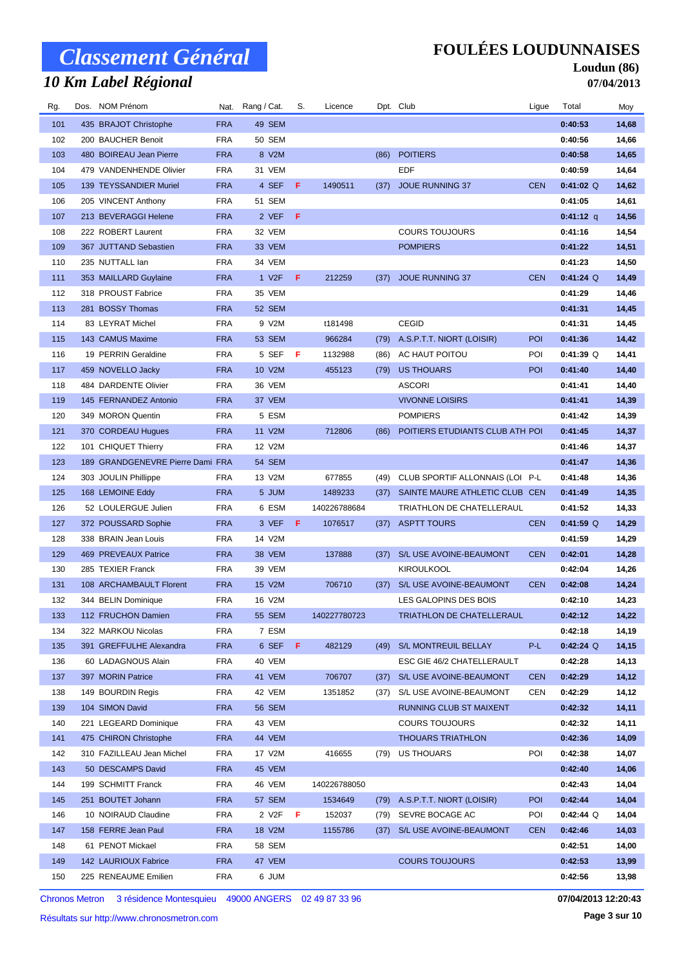# *10 Km Label Régional*

#### **FOULÉES LOUDUNNAISES**

#### **Loudun (86) 07/04/2013**

| Rg. | Dos. NOM Prénom                  |            | Nat. Rang / Cat.   | S. | Licence      |      | Dpt. Club                       | Ligue      | Total       | Moy   |
|-----|----------------------------------|------------|--------------------|----|--------------|------|---------------------------------|------------|-------------|-------|
| 101 | 435 BRAJOT Christophe            | <b>FRA</b> | 49 SEM             |    |              |      |                                 |            | 0:40:53     | 14,68 |
| 102 | 200 BAUCHER Benoit               | <b>FRA</b> | 50 SEM             |    |              |      |                                 |            | 0:40:56     | 14,66 |
| 103 | 480 BOIREAU Jean Pierre          | <b>FRA</b> | 8 V2M              |    |              | (86) | <b>POITIERS</b>                 |            | 0:40:58     | 14,65 |
| 104 | 479 VANDENHENDE Olivier          | <b>FRA</b> | 31 VEM             |    |              |      | <b>EDF</b>                      |            | 0:40:59     | 14,64 |
| 105 | 139 TEYSSANDIER Muriel           | <b>FRA</b> | 4 SEF              | F  | 1490511      | (37) | <b>JOUE RUNNING 37</b>          | <b>CEN</b> | $0:41:02$ Q | 14,62 |
| 106 | 205 VINCENT Anthony              | <b>FRA</b> | 51 SEM             |    |              |      |                                 |            | 0:41:05     | 14,61 |
| 107 | 213 BEVERAGGI Helene             | <b>FRA</b> | 2 VEF              | F  |              |      |                                 |            | $0:41:12$ q | 14,56 |
| 108 | 222 ROBERT Laurent               | <b>FRA</b> | 32 VEM             |    |              |      | <b>COURS TOUJOURS</b>           |            | 0:41:16     | 14,54 |
| 109 | 367 JUTTAND Sebastien            | <b>FRA</b> | 33 VEM             |    |              |      | <b>POMPIERS</b>                 |            | 0:41:22     | 14,51 |
| 110 | 235 NUTTALL lan                  | <b>FRA</b> | 34 VEM             |    |              |      |                                 |            | 0:41:23     | 14,50 |
| 111 | 353 MAILLARD Guylaine            | <b>FRA</b> | 1 V <sub>2</sub> F | F. | 212259       | (37) | <b>JOUE RUNNING 37</b>          | <b>CEN</b> | $0:41:24$ Q | 14,49 |
| 112 | 318 PROUST Fabrice               | <b>FRA</b> | 35 VEM             |    |              |      |                                 |            | 0:41:29     | 14,46 |
| 113 | 281 BOSSY Thomas                 | <b>FRA</b> | 52 SEM             |    |              |      |                                 |            | 0:41:31     | 14,45 |
| 114 | 83 LEYRAT Michel                 | <b>FRA</b> | 9 V2M              |    | t181498      |      | <b>CEGID</b>                    |            | 0:41:31     | 14,45 |
| 115 | 143 CAMUS Maxime                 | <b>FRA</b> | 53 SEM             |    | 966284       | (79) | A.S.P.T.T. NIORT (LOISIR)       | POI        | 0:41:36     | 14,42 |
| 116 | 19 PERRIN Geraldine              | <b>FRA</b> | 5 SEF              | F  | 1132988      | (86) | AC HAUT POITOU                  | POI        | $0:41:39$ Q | 14,41 |
| 117 | 459 NOVELLO Jacky                | <b>FRA</b> | 10 V2M             |    | 455123       | (79) | <b>US THOUARS</b>               | POI        | 0:41:40     | 14,40 |
| 118 | 484 DARDENTE Olivier             | <b>FRA</b> | 36 VEM             |    |              |      | <b>ASCORI</b>                   |            | 0:41:41     | 14,40 |
| 119 | 145 FERNANDEZ Antonio            | <b>FRA</b> | 37 VEM             |    |              |      | <b>VIVONNE LOISIRS</b>          |            | 0:41:41     | 14,39 |
| 120 | 349 MORON Quentin                | <b>FRA</b> | 5 ESM              |    |              |      | <b>POMPIERS</b>                 |            | 0:41:42     | 14,39 |
| 121 | 370 CORDEAU Hugues               | <b>FRA</b> | 11 V2M             |    | 712806       | (86) | POITIERS ETUDIANTS CLUB ATH POI |            | 0:41:45     | 14,37 |
| 122 | 101 CHIQUET Thierry              | <b>FRA</b> | 12 V2M             |    |              |      |                                 |            | 0:41:46     | 14,37 |
| 123 | 189 GRANDGENEVRE Pierre Dami FRA |            | 54 SEM             |    |              |      |                                 |            | 0:41:47     | 14,36 |
| 124 | 303 JOULIN Phillippe             | <b>FRA</b> | 13 V2M             |    | 677855       | (49) | CLUB SPORTIF ALLONNAIS (LOI P-L |            | 0:41:48     | 14,36 |
| 125 | 168 LEMOINE Eddy                 | <b>FRA</b> | 5 JUM              |    | 1489233      | (37) | SAINTE MAURE ATHLETIC CLUB CEN  |            | 0:41:49     | 14,35 |
| 126 | 52 LOULERGUE Julien              | <b>FRA</b> | 6 ESM              |    | 140226788684 |      | TRIATHLON DE CHATELLERAUL       |            | 0:41:52     | 14,33 |
| 127 | 372 POUSSARD Sophie              | <b>FRA</b> | 3 VEF              | F  | 1076517      | (37) | <b>ASPTT TOURS</b>              | <b>CEN</b> | $0:41:59$ Q | 14,29 |
| 128 | 338 BRAIN Jean Louis             | <b>FRA</b> | 14 V2M             |    |              |      |                                 |            | 0:41:59     | 14,29 |
| 129 | 469 PREVEAUX Patrice             | <b>FRA</b> | 38 VEM             |    | 137888       | (37) | S/L USE AVOINE-BEAUMONT         | <b>CEN</b> | 0:42:01     | 14,28 |
| 130 | 285 TEXIER Franck                | <b>FRA</b> | 39 VEM             |    |              |      | <b>KIROULKOOL</b>               |            | 0:42:04     | 14,26 |
| 131 | 108 ARCHAMBAULT Florent          | <b>FRA</b> | 15 V2M             |    | 706710       | (37) | S/L USE AVOINE-BEAUMONT         | <b>CEN</b> | 0:42:08     | 14,24 |
| 132 | 344 BELIN Dominique              | <b>FRA</b> | 16 V2M             |    |              |      | LES GALOPINS DES BOIS           |            | 0:42:10     | 14,23 |
| 133 | 112 FRUCHON Damien               | <b>FRA</b> | 55 SEM             |    | 140227780723 |      | TRIATHLON DE CHATELLERAUL       |            | 0:42:12     | 14,22 |
| 134 | 322 MARKOU Nicolas               | <b>FRA</b> | 7 ESM              |    |              |      |                                 |            | 0:42:18     | 14,19 |
| 135 | 391 GREFFULHE Alexandra          | <b>FRA</b> | 6 SEF F            |    | 482129       | (49) | S/L MONTREUIL BELLAY            | P-L        | $0:42:24$ Q | 14,15 |
| 136 | 60 LADAGNOUS Alain               | <b>FRA</b> | 40 VEM             |    |              |      | ESC GIE 46/2 CHATELLERAULT      |            | 0:42:28     | 14,13 |
| 137 | 397 MORIN Patrice                | <b>FRA</b> | 41 VEM             |    | 706707       | (37) | S/L USE AVOINE-BEAUMONT         | <b>CEN</b> | 0:42:29     | 14,12 |
| 138 | 149 BOURDIN Regis                | <b>FRA</b> | 42 VEM             |    | 1351852      | (37) | S/L USE AVOINE-BEAUMONT         | CEN        | 0:42:29     | 14,12 |
| 139 | 104 SIMON David                  | <b>FRA</b> | 56 SEM             |    |              |      | RUNNING CLUB ST MAIXENT         |            | 0:42:32     | 14,11 |
| 140 | 221 LEGEARD Dominique            | <b>FRA</b> | 43 VEM             |    |              |      | <b>COURS TOUJOURS</b>           |            | 0:42:32     | 14,11 |
| 141 | 475 CHIRON Christophe            | <b>FRA</b> | 44 VEM             |    |              |      | <b>THOUARS TRIATHLON</b>        |            | 0:42:36     | 14,09 |
| 142 | 310 FAZILLEAU Jean Michel        | <b>FRA</b> | 17 V2M             |    | 416655       | (79) | US THOUARS                      | POI        | 0:42:38     | 14,07 |
| 143 | 50 DESCAMPS David                | <b>FRA</b> | 45 VEM             |    |              |      |                                 |            | 0:42:40     | 14,06 |
| 144 | 199 SCHMITT Franck               | <b>FRA</b> | 46 VEM             |    | 140226788050 |      |                                 |            | 0:42:43     | 14,04 |
| 145 | 251 BOUTET Johann                | <b>FRA</b> | 57 SEM             |    | 1534649      | (79) | A.S.P.T.T. NIORT (LOISIR)       | <b>POI</b> | 0:42:44     | 14,04 |
| 146 | 10 NOIRAUD Claudine              | <b>FRA</b> | 2 V2F              | F  | 152037       | (79) | SEVRE BOCAGE AC                 | POI        | 0:42:44 Q   | 14,04 |
| 147 | 158 FERRE Jean Paul              | <b>FRA</b> | 18 V2M             |    | 1155786      | (37) | S/L USE AVOINE-BEAUMONT         | <b>CEN</b> | 0:42:46     | 14,03 |
| 148 | 61 PENOT Mickael                 | <b>FRA</b> | 58 SEM             |    |              |      |                                 |            | 0:42:51     | 14,00 |
| 149 | 142 LAURIOUX Fabrice             | <b>FRA</b> | 47 VEM             |    |              |      | <b>COURS TOUJOURS</b>           |            | 0:42:53     | 13,99 |
| 150 | 225 RENEAUME Emilien             | <b>FRA</b> | 6 JUM              |    |              |      |                                 |            | 0:42:56     | 13,98 |
|     |                                  |            |                    |    |              |      |                                 |            |             |       |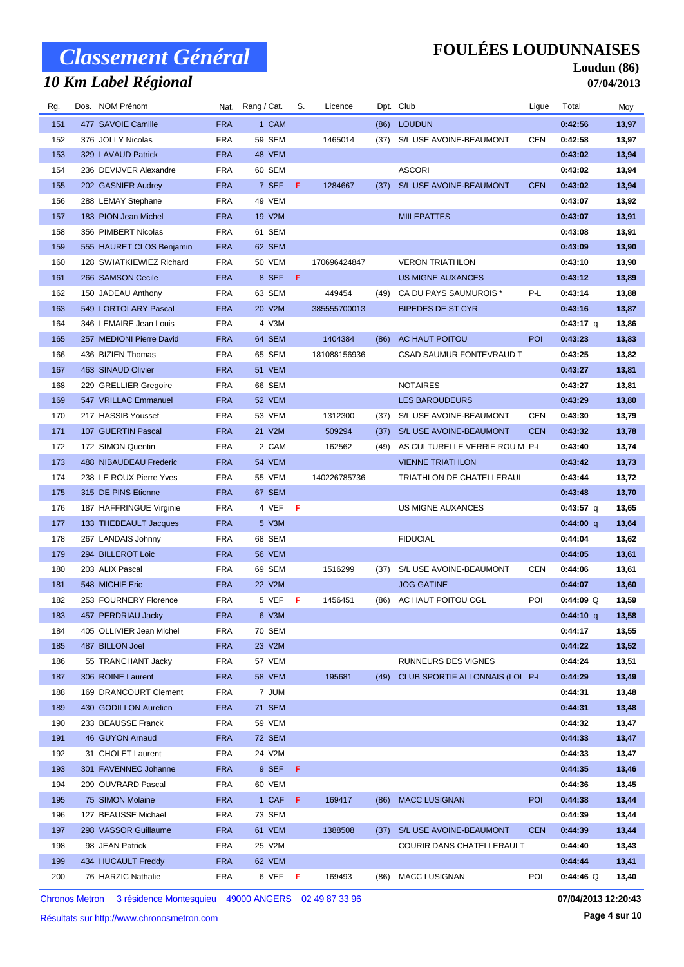# *10 Km Label Régional*

#### **FOULÉES LOUDUNNAISES**

#### **Loudun (86) 07/04/2013**

| Rg. | Dos. NOM Prénom          |            | Nat. Rang / Cat. | S. | Licence      |      | Dpt. Club                       | Ligue      | Total       | Moy   |
|-----|--------------------------|------------|------------------|----|--------------|------|---------------------------------|------------|-------------|-------|
| 151 | 477 SAVOIE Camille       | <b>FRA</b> | 1 CAM            |    |              | (86) | <b>LOUDUN</b>                   |            | 0:42:56     | 13,97 |
| 152 | 376 JOLLY Nicolas        | <b>FRA</b> | 59 SEM           |    | 1465014      | (37) | S/L USE AVOINE-BEAUMONT         | CEN        | 0:42:58     | 13,97 |
| 153 | 329 LAVAUD Patrick       | <b>FRA</b> | 48 VEM           |    |              |      |                                 |            | 0:43:02     | 13,94 |
| 154 | 236 DEVIJVER Alexandre   | <b>FRA</b> | 60 SEM           |    |              |      | <b>ASCORI</b>                   |            | 0:43:02     | 13,94 |
| 155 | 202 GASNIER Audrey       | <b>FRA</b> | 7 SEF            | F  | 1284667      | (37) | S/L USE AVOINE-BEAUMONT         | <b>CEN</b> | 0:43:02     | 13,94 |
| 156 | 288 LEMAY Stephane       | <b>FRA</b> | 49 VEM           |    |              |      |                                 |            | 0:43:07     | 13,92 |
| 157 | 183 PION Jean Michel     | <b>FRA</b> | 19 V2M           |    |              |      | <b>MIILEPATTES</b>              |            | 0:43:07     | 13,91 |
| 158 | 356 PIMBERT Nicolas      | <b>FRA</b> | 61 SEM           |    |              |      |                                 |            | 0:43:08     | 13,91 |
| 159 | 555 HAURET CLOS Benjamin | <b>FRA</b> | 62 SEM           |    |              |      |                                 |            | 0:43:09     | 13,90 |
| 160 | 128 SWIATKIEWIEZ Richard | <b>FRA</b> | 50 VEM           |    | 170696424847 |      | <b>VERON TRIATHLON</b>          |            | 0:43:10     | 13,90 |
| 161 | 266 SAMSON Cecile        | <b>FRA</b> | 8 SEF            | -F |              |      | <b>US MIGNE AUXANCES</b>        |            | 0:43:12     | 13,89 |
| 162 | 150 JADEAU Anthony       | <b>FRA</b> | 63 SEM           |    | 449454       | (49) | CA DU PAYS SAUMUROIS *          | P-L        | 0:43:14     | 13,88 |
| 163 | 549 LORTOLARY Pascal     | <b>FRA</b> | 20 V2M           |    | 385555700013 |      | <b>BIPEDES DE ST CYR</b>        |            | 0:43:16     | 13,87 |
| 164 | 346 LEMAIRE Jean Louis   | <b>FRA</b> | 4 V3M            |    |              |      |                                 |            | 0:43:17 q   | 13,86 |
| 165 | 257 MEDIONI Pierre David | <b>FRA</b> | 64 SEM           |    | 1404384      | (86) | AC HAUT POITOU                  | POI        | 0:43:23     | 13,83 |
| 166 | 436 BIZIEN Thomas        | <b>FRA</b> | 65 SEM           |    | 181088156936 |      | CSAD SAUMUR FONTEVRAUD T        |            | 0:43:25     | 13,82 |
| 167 | 463 SINAUD Olivier       | <b>FRA</b> | 51 VEM           |    |              |      |                                 |            | 0:43:27     | 13,81 |
| 168 | 229 GRELLIER Gregoire    | <b>FRA</b> | 66 SEM           |    |              |      | <b>NOTAIRES</b>                 |            | 0:43:27     | 13,81 |
| 169 | 547 VRILLAC Emmanuel     | <b>FRA</b> | 52 VEM           |    |              |      | <b>LES BAROUDEURS</b>           |            | 0:43:29     | 13,80 |
| 170 | 217 HASSIB Youssef       | <b>FRA</b> | 53 VEM           |    | 1312300      | (37) | S/L USE AVOINE-BEAUMONT         | CEN        | 0:43:30     | 13,79 |
| 171 | 107 GUERTIN Pascal       | <b>FRA</b> | 21 V2M           |    | 509294       | (37) | S/L USE AVOINE-BEAUMONT         | <b>CEN</b> | 0:43:32     | 13,78 |
| 172 | 172 SIMON Quentin        | <b>FRA</b> | 2 CAM            |    | 162562       | (49) | AS CULTURELLE VERRIE ROU M P-L  |            | 0:43:40     | 13,74 |
| 173 | 488 NIBAUDEAU Frederic   | <b>FRA</b> | 54 VEM           |    |              |      | <b>VIENNE TRIATHLON</b>         |            | 0:43:42     | 13,73 |
| 174 | 238 LE ROUX Pierre Yves  | <b>FRA</b> | 55 VEM           |    | 140226785736 |      | TRIATHLON DE CHATELLERAUL       |            | 0:43:44     | 13,72 |
| 175 | 315 DE PINS Etienne      | <b>FRA</b> | 67 SEM           |    |              |      |                                 |            | 0:43:48     | 13,70 |
| 176 | 187 HAFFRINGUE Virginie  | <b>FRA</b> | 4 VEF F          |    |              |      | US MIGNE AUXANCES               |            | 0:43:57 q   | 13,65 |
| 177 | 133 THEBEAULT Jacques    | <b>FRA</b> | 5 V3M            |    |              |      |                                 |            | $0:44:00$ q | 13,64 |
| 178 | 267 LANDAIS Johnny       | <b>FRA</b> | 68 SEM           |    |              |      | <b>FIDUCIAL</b>                 |            | 0:44:04     | 13,62 |
| 179 | 294 BILLEROT Loic        | <b>FRA</b> | 56 VEM           |    |              |      |                                 |            | 0:44:05     | 13,61 |
| 180 | 203 ALIX Pascal          | <b>FRA</b> | 69 SEM           |    | 1516299      | (37) | S/L USE AVOINE-BEAUMONT         | CEN        | 0:44:06     | 13,61 |
| 181 | 548 MICHIE Eric          | <b>FRA</b> | 22 V2M           |    |              |      | <b>JOG GATINE</b>               |            | 0:44:07     | 13,60 |
| 182 | 253 FOURNERY Florence    | <b>FRA</b> | 5 VEF F          |    | 1456451      | (86) | AC HAUT POITOU CGL              | POI        | $0:44:09$ Q | 13,59 |
| 183 | 457 PERDRIAU Jacky       | <b>FRA</b> | 6 V3M            |    |              |      |                                 |            | $0:44:10$ q | 13,58 |
| 184 | 405 OLLIVIER Jean Michel | <b>FRA</b> | 70 SEM           |    |              |      |                                 |            | 0:44:17     | 13,55 |
| 185 | 487 BILLON Joel          | <b>FRA</b> | 23 V2M           |    |              |      |                                 |            | 0:44:22     | 13,52 |
| 186 | 55 TRANCHANT Jacky       | <b>FRA</b> | 57 VEM           |    |              |      | RUNNEURS DES VIGNES             |            | 0:44:24     | 13,51 |
| 187 | 306 ROINE Laurent        | <b>FRA</b> | 58 VEM           |    | 195681       | (49) | CLUB SPORTIF ALLONNAIS (LOI P-L |            | 0:44:29     | 13,49 |
| 188 | 169 DRANCOURT Clement    | <b>FRA</b> | 7 JUM            |    |              |      |                                 |            | 0:44:31     | 13,48 |
| 189 | 430 GODILLON Aurelien    | <b>FRA</b> | <b>71 SEM</b>    |    |              |      |                                 |            | 0:44:31     | 13,48 |
| 190 | 233 BEAUSSE Franck       | <b>FRA</b> | 59 VEM           |    |              |      |                                 |            | 0:44:32     | 13,47 |
| 191 | 46 GUYON Arnaud          | <b>FRA</b> | <b>72 SEM</b>    |    |              |      |                                 |            | 0:44:33     | 13,47 |
| 192 | 31 CHOLET Laurent        | <b>FRA</b> | 24 V2M           |    |              |      |                                 |            | 0:44:33     | 13,47 |
| 193 | 301 FAVENNEC Johanne     | <b>FRA</b> | 9 SEF F          |    |              |      |                                 |            | 0:44:35     | 13,46 |
| 194 | 209 OUVRARD Pascal       | <b>FRA</b> | 60 VEM           |    |              |      |                                 |            | 0:44:36     | 13,45 |
| 195 | 75 SIMON Molaine         | <b>FRA</b> | 1 CAF F          |    | 169417       | (86) | <b>MACC LUSIGNAN</b>            | POI        | 0:44:38     | 13,44 |
| 196 | 127 BEAUSSE Michael      | <b>FRA</b> | 73 SEM           |    |              |      |                                 |            | 0:44:39     | 13,44 |
| 197 | 298 VASSOR Guillaume     | <b>FRA</b> | 61 VEM           |    | 1388508      | (37) | S/L USE AVOINE-BEAUMONT         | <b>CEN</b> | 0:44:39     | 13,44 |
| 198 | 98 JEAN Patrick          | <b>FRA</b> | 25 V2M           |    |              |      | COURIR DANS CHATELLERAULT       |            | 0:44:40     | 13,43 |
| 199 | 434 HUCAULT Freddy       | <b>FRA</b> | 62 VEM           |    |              |      |                                 |            | 0:44:44     | 13,41 |
| 200 | 76 HARZIC Nathalie       | <b>FRA</b> | 6 VEF F          |    | 169493       | (86) | <b>MACC LUSIGNAN</b>            | POI        | $0:44:46$ Q | 13,40 |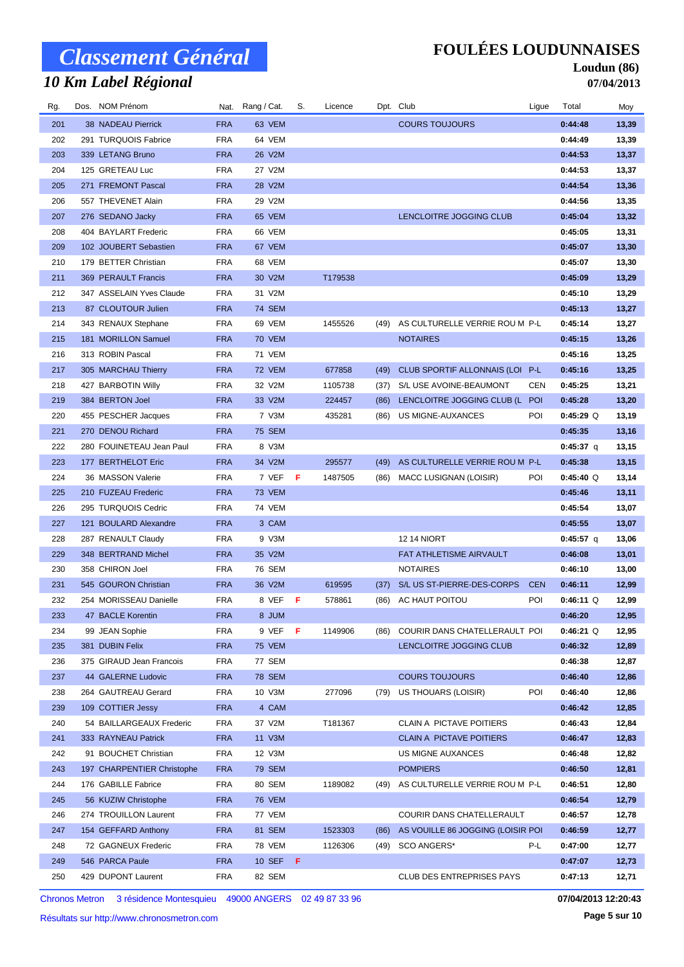# *10 Km Label Régional*

#### **FOULÉES LOUDUNNAISES**

#### **Loudun (86) 07/04/2013**

| Rg. | Dos. NOM Prénom            |            | Nat. Rang / Cat. | S.  | Licence |      | Dpt. Club                         | Ligue      | Total       | Moy   |
|-----|----------------------------|------------|------------------|-----|---------|------|-----------------------------------|------------|-------------|-------|
| 201 | <b>38 NADEAU Pierrick</b>  | <b>FRA</b> | 63 VEM           |     |         |      | <b>COURS TOUJOURS</b>             |            | 0:44:48     | 13,39 |
| 202 | 291 TURQUOIS Fabrice       | <b>FRA</b> | 64 VEM           |     |         |      |                                   |            | 0:44:49     | 13,39 |
| 203 | 339 LETANG Bruno           | <b>FRA</b> | 26 V2M           |     |         |      |                                   |            | 0:44:53     | 13,37 |
| 204 | 125 GRETEAU Luc            | <b>FRA</b> | 27 V2M           |     |         |      |                                   |            | 0:44:53     | 13,37 |
| 205 | 271 FREMONT Pascal         | <b>FRA</b> | 28 V2M           |     |         |      |                                   |            | 0:44:54     | 13,36 |
| 206 | 557 THEVENET Alain         | <b>FRA</b> | 29 V2M           |     |         |      |                                   |            | 0:44:56     | 13,35 |
| 207 | 276 SEDANO Jacky           | <b>FRA</b> | 65 VEM           |     |         |      | LENCLOITRE JOGGING CLUB           |            | 0:45:04     | 13,32 |
| 208 | 404 BAYLART Frederic       | <b>FRA</b> | 66 VEM           |     |         |      |                                   |            | 0:45:05     | 13,31 |
| 209 | 102 JOUBERT Sebastien      | <b>FRA</b> | 67 VEM           |     |         |      |                                   |            | 0:45:07     | 13,30 |
| 210 | 179 BETTER Christian       | <b>FRA</b> | 68 VEM           |     |         |      |                                   |            | 0:45:07     | 13,30 |
| 211 | 369 PERAULT Francis        | <b>FRA</b> | 30 V2M           |     | T179538 |      |                                   |            | 0:45:09     | 13,29 |
| 212 | 347 ASSELAIN Yves Claude   | <b>FRA</b> | 31 V2M           |     |         |      |                                   |            | 0:45:10     | 13,29 |
| 213 | 87 CLOUTOUR Julien         | <b>FRA</b> | <b>74 SEM</b>    |     |         |      |                                   |            | 0:45:13     | 13,27 |
| 214 | 343 RENAUX Stephane        | <b>FRA</b> | 69 VEM           |     | 1455526 | (49) | AS CULTURELLE VERRIE ROU M P-L    |            | 0:45:14     | 13,27 |
| 215 | 181 MORILLON Samuel        | <b>FRA</b> | 70 VEM           |     |         |      | <b>NOTAIRES</b>                   |            | 0:45:15     | 13,26 |
| 216 | 313 ROBIN Pascal           | <b>FRA</b> | 71 VEM           |     |         |      |                                   |            | 0:45:16     | 13,25 |
| 217 | 305 MARCHAU Thierry        | <b>FRA</b> | <b>72 VEM</b>    |     | 677858  | (49) | CLUB SPORTIF ALLONNAIS (LOI P-L   |            | 0:45:16     | 13,25 |
| 218 | 427 BARBOTIN Willy         | <b>FRA</b> | 32 V2M           |     | 1105738 | (37) | S/L USE AVOINE-BEAUMONT           | <b>CEN</b> | 0:45:25     | 13,21 |
| 219 | 384 BERTON Joel            | <b>FRA</b> | 33 V2M           |     | 224457  | (86) | LENCLOITRE JOGGING CLUB (L        | <b>POI</b> | 0:45:28     | 13,20 |
| 220 | 455 PESCHER Jacques        | FRA        | 7 V3M            |     | 435281  | (86) | US MIGNE-AUXANCES                 | POI        | $0:45:29$ Q | 13,19 |
| 221 | 270 DENOU Richard          | <b>FRA</b> | <b>75 SEM</b>    |     |         |      |                                   |            | 0:45:35     | 13,16 |
| 222 | 280 FOUINETEAU Jean Paul   | <b>FRA</b> | 8 V3M            |     |         |      |                                   |            | 0:45:37 q   | 13,15 |
| 223 | 177 BERTHELOT Eric         | <b>FRA</b> | 34 V2M           |     | 295577  | (49) | AS CULTURELLE VERRIE ROU M P-L    |            | 0:45:38     | 13,15 |
| 224 | 36 MASSON Valerie          | <b>FRA</b> | 7 VEF            | - F | 1487505 | (86) | MACC LUSIGNAN (LOISIR)            | POI        | $0:45:40$ Q | 13,14 |
| 225 | 210 FUZEAU Frederic        | <b>FRA</b> | <b>73 VEM</b>    |     |         |      |                                   |            | 0:45:46     | 13,11 |
| 226 | 295 TURQUOIS Cedric        | <b>FRA</b> | 74 VEM           |     |         |      |                                   |            | 0:45:54     | 13,07 |
| 227 | 121 BOULARD Alexandre      | <b>FRA</b> | 3 CAM            |     |         |      |                                   |            | 0:45:55     | 13,07 |
| 228 | 287 RENAULT Claudy         | <b>FRA</b> | 9 V3M            |     |         |      | <b>12 14 NIORT</b>                |            | 0:45:57 q   | 13,06 |
| 229 | 348 BERTRAND Michel        | <b>FRA</b> | 35 V2M           |     |         |      | FAT ATHLETISME AIRVAULT           |            | 0:46:08     | 13,01 |
| 230 | 358 CHIRON Joel            | <b>FRA</b> | 76 SEM           |     |         |      | <b>NOTAIRES</b>                   |            | 0:46:10     | 13,00 |
| 231 | 545 GOURON Christian       | <b>FRA</b> | 36 V2M           |     | 619595  | (37) | S/L US ST-PIERRE-DES-CORPS        | <b>CEN</b> | 0:46:11     | 12,99 |
| 232 | 254 MORISSEAU Danielle     | <b>FRA</b> | 8 VEF F          |     | 578861  | (86) | AC HAUT POITOU                    | POI        | $0:46:11$ Q | 12,99 |
| 233 | 47 BACLE Korentin          | <b>FRA</b> | 8 JUM            |     |         |      |                                   |            | 0:46:20     | 12,95 |
| 234 | 99 JEAN Sophie             | <b>FRA</b> | 9 VEF            | F   | 1149906 | (86) | COURIR DANS CHATELLERAULT POI     |            | $0:46:21$ Q | 12,95 |
| 235 | 381 DUBIN Felix            | <b>FRA</b> | <b>75 VEM</b>    |     |         |      | LENCLOITRE JOGGING CLUB           |            | 0:46:32     | 12,89 |
| 236 | 375 GIRAUD Jean Francois   | <b>FRA</b> | 77 SEM           |     |         |      |                                   |            | 0:46:38     | 12,87 |
| 237 | 44 GALERNE Ludovic         | <b>FRA</b> | <b>78 SEM</b>    |     |         |      | <b>COURS TOUJOURS</b>             |            | 0:46:40     | 12,86 |
| 238 | 264 GAUTREAU Gerard        | <b>FRA</b> | 10 V3M           |     | 277096  | (79) | US THOUARS (LOISIR)               | POI        | 0:46:40     | 12,86 |
| 239 | 109 COTTIER Jessy          | <b>FRA</b> | 4 CAM            |     |         |      |                                   |            | 0:46:42     | 12,85 |
| 240 | 54 BAILLARGEAUX Frederic   | <b>FRA</b> | 37 V2M           |     | T181367 |      | CLAIN A PICTAVE POITIERS          |            | 0:46:43     | 12,84 |
| 241 | 333 RAYNEAU Patrick        | <b>FRA</b> | 11 V3M           |     |         |      | <b>CLAIN A PICTAVE POITIERS</b>   |            | 0:46:47     | 12,83 |
| 242 | 91 BOUCHET Christian       | <b>FRA</b> | 12 V3M           |     |         |      | US MIGNE AUXANCES                 |            | 0:46:48     | 12,82 |
| 243 | 197 CHARPENTIER Christophe | <b>FRA</b> | 79 SEM           |     |         |      | <b>POMPIERS</b>                   |            | 0:46:50     | 12,81 |
| 244 | 176 GABILLE Fabrice        | <b>FRA</b> | 80 SEM           |     | 1189082 | (49) | AS CULTURELLE VERRIE ROU M P-L    |            | 0:46:51     | 12,80 |
| 245 | 56 KUZIW Christophe        | <b>FRA</b> | <b>76 VEM</b>    |     |         |      |                                   |            | 0:46:54     | 12,79 |
| 246 | 274 TROUILLON Laurent      | <b>FRA</b> | 77 VEM           |     |         |      | COURIR DANS CHATELLERAULT         |            | 0:46:57     | 12,78 |
| 247 | 154 GEFFARD Anthony        | <b>FRA</b> | 81 SEM           |     | 1523303 | (86) | AS VOUILLE 86 JOGGING (LOISIR POI |            | 0:46:59     | 12,77 |
| 248 | 72 GAGNEUX Frederic        | <b>FRA</b> | 78 VEM           |     | 1126306 | (49) | SCO ANGERS*                       | P-L        | 0:47:00     | 12,77 |
| 249 | 546 PARCA Paule            | <b>FRA</b> | 10 SEF F         |     |         |      |                                   |            | 0:47:07     | 12,73 |
| 250 | 429 DUPONT Laurent         | <b>FRA</b> | 82 SEM           |     |         |      | <b>CLUB DES ENTREPRISES PAYS</b>  |            | 0:47:13     | 12,71 |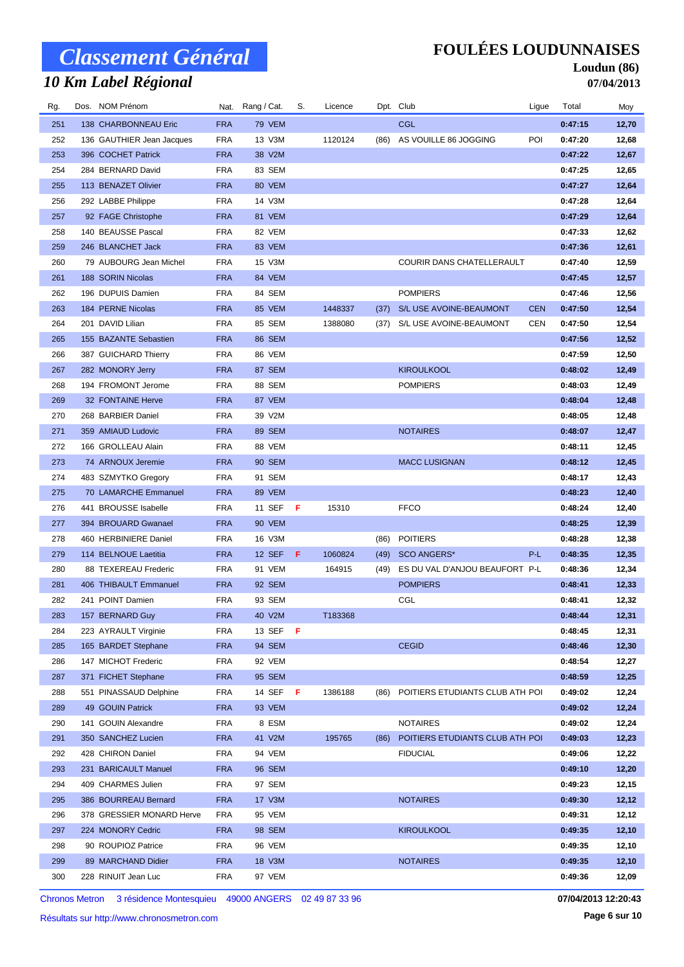# *10 Km Label Régional*

### **FOULÉES LOUDUNNAISES**

#### **Loudun (86) 07/04/2013**

| Rg. | Dos. NOM Prénom           |            | Nat. Rang / Cat. | S. | Licence |      | Dpt. Club                       | Ligue      | Total   | Moy   |
|-----|---------------------------|------------|------------------|----|---------|------|---------------------------------|------------|---------|-------|
| 251 | 138 CHARBONNEAU Eric      | <b>FRA</b> | <b>79 VEM</b>    |    |         |      | <b>CGL</b>                      |            | 0:47:15 | 12,70 |
| 252 | 136 GAUTHIER Jean Jacques | <b>FRA</b> | 13 V3M           |    | 1120124 | (86) | AS VOUILLE 86 JOGGING           | POI        | 0:47:20 | 12,68 |
| 253 | 396 COCHET Patrick        | <b>FRA</b> | 38 V2M           |    |         |      |                                 |            | 0:47:22 | 12,67 |
| 254 | 284 BERNARD David         | <b>FRA</b> | 83 SEM           |    |         |      |                                 |            | 0:47:25 | 12,65 |
| 255 | 113 BENAZET Olivier       | <b>FRA</b> | 80 VEM           |    |         |      |                                 |            | 0:47:27 | 12,64 |
| 256 | 292 LABBE Philippe        | <b>FRA</b> | 14 V3M           |    |         |      |                                 |            | 0:47:28 | 12,64 |
| 257 | 92 FAGE Christophe        | <b>FRA</b> | 81 VEM           |    |         |      |                                 |            | 0:47:29 | 12,64 |
| 258 | 140 BEAUSSE Pascal        | <b>FRA</b> | 82 VEM           |    |         |      |                                 |            | 0:47:33 | 12,62 |
| 259 | 246 BLANCHET Jack         | <b>FRA</b> | 83 VEM           |    |         |      |                                 |            | 0:47:36 | 12,61 |
| 260 | 79 AUBOURG Jean Michel    | <b>FRA</b> | 15 V3M           |    |         |      | COURIR DANS CHATELLERAULT       |            | 0:47:40 | 12,59 |
| 261 | 188 SORIN Nicolas         | <b>FRA</b> | 84 VEM           |    |         |      |                                 |            | 0:47:45 | 12,57 |
| 262 | 196 DUPUIS Damien         | <b>FRA</b> | 84 SEM           |    |         |      | <b>POMPIERS</b>                 |            | 0:47:46 | 12,56 |
| 263 | 184 PERNE Nicolas         | <b>FRA</b> | 85 VEM           |    | 1448337 | (37) | S/L USE AVOINE-BEAUMONT         | <b>CEN</b> | 0:47:50 | 12,54 |
| 264 | 201 DAVID Lilian          | <b>FRA</b> | 85 SEM           |    | 1388080 | (37) | S/L USE AVOINE-BEAUMONT         | CEN        | 0:47:50 | 12,54 |
| 265 | 155 BAZANTE Sebastien     | <b>FRA</b> | 86 SEM           |    |         |      |                                 |            | 0:47:56 | 12,52 |
| 266 | 387 GUICHARD Thierry      | <b>FRA</b> | 86 VEM           |    |         |      |                                 |            | 0:47:59 | 12,50 |
| 267 | 282 MONORY Jerry          | <b>FRA</b> | 87 SEM           |    |         |      | <b>KIROULKOOL</b>               |            | 0:48:02 | 12,49 |
| 268 | 194 FROMONT Jerome        | <b>FRA</b> | 88 SEM           |    |         |      | <b>POMPIERS</b>                 |            | 0:48:03 | 12,49 |
| 269 | 32 FONTAINE Herve         | <b>FRA</b> | 87 VEM           |    |         |      |                                 |            | 0:48:04 | 12,48 |
| 270 | 268 BARBIER Daniel        | <b>FRA</b> | 39 V2M           |    |         |      |                                 |            | 0:48:05 | 12,48 |
| 271 | 359 AMIAUD Ludovic        | <b>FRA</b> | 89 SEM           |    |         |      | <b>NOTAIRES</b>                 |            | 0:48:07 | 12,47 |
| 272 | 166 GROLLEAU Alain        | <b>FRA</b> | 88 VEM           |    |         |      |                                 |            | 0:48:11 | 12,45 |
| 273 | 74 ARNOUX Jeremie         | <b>FRA</b> | 90 SEM           |    |         |      | <b>MACC LUSIGNAN</b>            |            | 0:48:12 | 12,45 |
| 274 | 483 SZMYTKO Gregory       | <b>FRA</b> | 91 SEM           |    |         |      |                                 |            | 0:48:17 | 12,43 |
| 275 | 70 LAMARCHE Emmanuel      | <b>FRA</b> | 89 VEM           |    |         |      |                                 |            | 0:48:23 | 12,40 |
| 276 | 441 BROUSSE Isabelle      | <b>FRA</b> | 11 SEF           | F  | 15310   |      | <b>FFCO</b>                     |            | 0:48:24 | 12,40 |
| 277 | 394 BROUARD Gwanael       | <b>FRA</b> | 90 VEM           |    |         |      |                                 |            | 0:48:25 | 12,39 |
| 278 | 460 HERBINIERE Daniel     | <b>FRA</b> | 16 V3M           |    |         | (86) | <b>POITIERS</b>                 |            | 0:48:28 | 12,38 |
| 279 | 114 BELNOUE Laetitia      | <b>FRA</b> | 12 SEF           | F  | 1060824 | (49) | <b>SCO ANGERS*</b>              | P-L        | 0:48:35 | 12,35 |
| 280 | 88 TEXEREAU Frederic      | <b>FRA</b> | 91 VEM           |    | 164915  | (49) | ES DU VAL D'ANJOU BEAUFORT P-L  |            | 0:48:36 | 12,34 |
| 281 | 406 THIBAULT Emmanuel     | <b>FRA</b> | 92 SEM           |    |         |      | <b>POMPIERS</b>                 |            | 0:48:41 | 12,33 |
| 282 | 241 POINT Damien          | <b>FRA</b> | 93 SEM           |    |         |      | CGL                             |            | 0:48:41 | 12,32 |
| 283 | 157 BERNARD Guy           | <b>FRA</b> | 40 V2M           |    | T183368 |      |                                 |            | 0:48:44 | 12,31 |
| 284 | 223 AYRAULT Virginie      | FRA        | 13 SEF <b>F</b>  |    |         |      |                                 |            | 0:48:45 | 12,31 |
| 285 | 165 BARDET Stephane       | <b>FRA</b> | 94 SEM           |    |         |      | <b>CEGID</b>                    |            | 0:48:46 | 12,30 |
| 286 | 147 MICHOT Frederic       | FRA        | 92 VEM           |    |         |      |                                 |            | 0:48:54 | 12,27 |
| 287 | 371 FICHET Stephane       | <b>FRA</b> | 95 SEM           |    |         |      |                                 |            | 0:48:59 | 12,25 |
| 288 | 551 PINASSAUD Delphine    | <b>FRA</b> | 14 SEF <b>F</b>  |    | 1386188 | (86) | POITIERS ETUDIANTS CLUB ATH POI |            | 0:49:02 | 12,24 |
| 289 | 49 GOUIN Patrick          | <b>FRA</b> | 93 VEM           |    |         |      |                                 |            | 0:49:02 | 12,24 |
| 290 | 141 GOUIN Alexandre       | <b>FRA</b> | 8 ESM            |    |         |      | <b>NOTAIRES</b>                 |            | 0:49:02 | 12,24 |
| 291 | 350 SANCHEZ Lucien        | <b>FRA</b> | 41 V2M           |    | 195765  | (86) | POITIERS ETUDIANTS CLUB ATH POI |            | 0:49:03 | 12,23 |
| 292 | 428 CHIRON Daniel         | <b>FRA</b> | 94 VEM           |    |         |      | <b>FIDUCIAL</b>                 |            | 0:49:06 | 12,22 |
| 293 | 231 BARICAULT Manuel      | <b>FRA</b> | 96 SEM           |    |         |      |                                 |            | 0:49:10 | 12,20 |
| 294 | 409 CHARMES Julien        | <b>FRA</b> | 97 SEM           |    |         |      |                                 |            | 0:49:23 | 12,15 |
| 295 | 386 BOURREAU Bernard      | <b>FRA</b> | 17 V3M           |    |         |      | <b>NOTAIRES</b>                 |            | 0:49:30 | 12,12 |
| 296 | 378 GRESSIER MONARD Herve | <b>FRA</b> | 95 VEM           |    |         |      |                                 |            | 0:49:31 | 12,12 |
| 297 | 224 MONORY Cedric         | <b>FRA</b> | 98 SEM           |    |         |      | <b>KIROULKOOL</b>               |            | 0:49:35 | 12,10 |
| 298 | 90 ROUPIOZ Patrice        | <b>FRA</b> | 96 VEM           |    |         |      |                                 |            | 0:49:35 | 12,10 |
| 299 | 89 MARCHAND Didier        | <b>FRA</b> | 18 V3M           |    |         |      | <b>NOTAIRES</b>                 |            | 0:49:35 | 12,10 |
| 300 |                           | <b>FRA</b> | 97 VEM           |    |         |      |                                 |            | 0:49:36 | 12,09 |
|     | 228 RINUIT Jean Luc       |            |                  |    |         |      |                                 |            |         |       |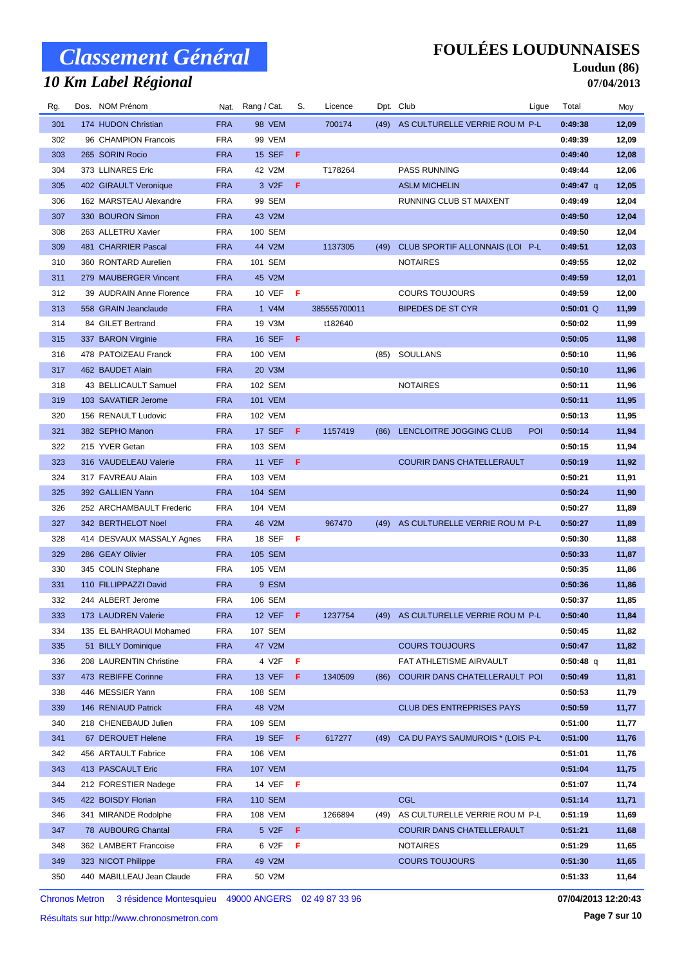# *10 Km Label Régional*

#### **FOULÉES LOUDUNNAISES**

#### **Loudun (86) 07/04/2013**

| Rg. | Dos. NOM Prénom           | Nat.       | Rang / Cat.     | S.  | Licence      |      | Dpt. Club                           | Ligue | Total       | Moy   |
|-----|---------------------------|------------|-----------------|-----|--------------|------|-------------------------------------|-------|-------------|-------|
| 301 | 174 HUDON Christian       | <b>FRA</b> | <b>98 VEM</b>   |     | 700174       |      | (49) AS CULTURELLE VERRIE ROU M P-L |       | 0:49:38     | 12,09 |
| 302 | 96 CHAMPION Francois      | <b>FRA</b> | 99 VEM          |     |              |      |                                     |       | 0:49:39     | 12,09 |
| 303 | 265 SORIN Rocio           | <b>FRA</b> | <b>15 SEF</b>   | F   |              |      |                                     |       | 0:49:40     | 12,08 |
| 304 | 373 LLINARES Eric         | <b>FRA</b> | 42 V2M          |     | T178264      |      | <b>PASS RUNNING</b>                 |       | 0:49:44     | 12,06 |
| 305 | 402 GIRAULT Veronique     | <b>FRA</b> | 3 V2F           | F   |              |      | <b>ASLM MICHELIN</b>                |       | $0:49:47$ q | 12,05 |
| 306 | 162 MARSTEAU Alexandre    | <b>FRA</b> | 99 SEM          |     |              |      | RUNNING CLUB ST MAIXENT             |       | 0:49:49     | 12,04 |
| 307 | 330 BOURON Simon          | <b>FRA</b> | 43 V2M          |     |              |      |                                     |       | 0:49:50     | 12,04 |
| 308 | 263 ALLETRU Xavier        | <b>FRA</b> | 100 SEM         |     |              |      |                                     |       | 0:49:50     | 12,04 |
| 309 | 481 CHARRIER Pascal       | <b>FRA</b> | 44 V2M          |     | 1137305      | (49) | CLUB SPORTIF ALLONNAIS (LOI P-L     |       | 0:49:51     | 12,03 |
| 310 | 360 RONTARD Aurelien      | <b>FRA</b> | 101 SEM         |     |              |      | <b>NOTAIRES</b>                     |       | 0:49:55     | 12,02 |
| 311 | 279 MAUBERGER Vincent     | <b>FRA</b> | 45 V2M          |     |              |      |                                     |       | 0:49:59     | 12,01 |
| 312 | 39 AUDRAIN Anne Florence  | <b>FRA</b> | 10 VEF          | -F  |              |      | <b>COURS TOUJOURS</b>               |       | 0:49:59     | 12,00 |
| 313 | 558 GRAIN Jeanclaude      | <b>FRA</b> | 1 V4M           |     | 385555700011 |      | <b>BIPEDES DE ST CYR</b>            |       | $0:50:01$ Q | 11,99 |
| 314 | 84 GILET Bertrand         | <b>FRA</b> | 19 V3M          |     | t182640      |      |                                     |       | 0:50:02     | 11,99 |
| 315 | 337 BARON Virginie        | <b>FRA</b> | <b>16 SEF</b>   | F   |              |      |                                     |       | 0:50:05     | 11,98 |
| 316 | 478 PATOIZEAU Franck      | <b>FRA</b> | 100 VEM         |     |              | (85) | <b>SOULLANS</b>                     |       | 0:50:10     | 11,96 |
| 317 | 462 BAUDET Alain          | <b>FRA</b> | 20 V3M          |     |              |      |                                     |       | 0:50:10     | 11,96 |
| 318 | 43 BELLICAULT Samuel      | <b>FRA</b> | 102 SEM         |     |              |      | <b>NOTAIRES</b>                     |       | 0:50:11     | 11,96 |
| 319 | 103 SAVATIER Jerome       | <b>FRA</b> | <b>101 VEM</b>  |     |              |      |                                     |       | 0:50:11     | 11,95 |
| 320 | 156 RENAULT Ludovic       | <b>FRA</b> | 102 VEM         |     |              |      |                                     |       | 0:50:13     | 11,95 |
| 321 | 382 SEPHO Manon           | <b>FRA</b> | 17 SEF          | -F. | 1157419      | (86) | LENCLOITRE JOGGING CLUB             | POI   | 0:50:14     | 11,94 |
| 322 | 215 YVER Getan            | <b>FRA</b> | 103 SEM         |     |              |      |                                     |       | 0:50:15     | 11,94 |
| 323 | 316 VAUDELEAU Valerie     | <b>FRA</b> | <b>11 VEF</b>   | -F  |              |      | <b>COURIR DANS CHATELLERAULT</b>    |       | 0:50:19     | 11,92 |
| 324 | 317 FAVREAU Alain         | <b>FRA</b> | 103 VEM         |     |              |      |                                     |       | 0:50:21     | 11,91 |
| 325 | 392 GALLIEN Yann          | <b>FRA</b> | 104 SEM         |     |              |      |                                     |       | 0:50:24     | 11,90 |
| 326 | 252 ARCHAMBAULT Frederic  | <b>FRA</b> | 104 VEM         |     |              |      |                                     |       | 0:50:27     | 11,89 |
| 327 | 342 BERTHELOT Noel        | <b>FRA</b> | 46 V2M          |     | 967470       | (49) | AS CULTURELLE VERRIE ROU M P-L      |       | 0:50:27     | 11,89 |
| 328 | 414 DESVAUX MASSALY Agnes | <b>FRA</b> | 18 SEF          | - F |              |      |                                     |       | 0:50:30     | 11,88 |
| 329 | 286 GEAY Olivier          | <b>FRA</b> | 105 SEM         |     |              |      |                                     |       | 0:50:33     | 11,87 |
| 330 | 345 COLIN Stephane        | <b>FRA</b> | <b>105 VEM</b>  |     |              |      |                                     |       | 0:50:35     | 11,86 |
| 331 | 110 FILLIPPAZZI David     | <b>FRA</b> | 9 ESM           |     |              |      |                                     |       | 0:50:36     | 11,86 |
| 332 | 244 ALBERT Jerome         | <b>FRA</b> | 106 SEM         |     |              |      |                                     |       | 0:50:37     | 11,85 |
| 333 | 173 LAUDREN Valerie       | <b>FRA</b> | 12 VEF F        |     | 1237754      |      | (49) AS CULTURELLE VERRIE ROU M P-L |       | 0:50:40     | 11,84 |
| 334 | 135 EL BAHRAOUI Mohamed   | <b>FRA</b> | 107 SEM         |     |              |      |                                     |       | 0:50:45     | 11,82 |
| 335 | 51 BILLY Dominique        | <b>FRA</b> | 47 V2M          |     |              |      | <b>COURS TOUJOURS</b>               |       | 0:50:47     | 11,82 |
| 336 | 208 LAURENTIN Christine   | <b>FRA</b> | 4 V2F           | F   |              |      | FAT ATHLETISME AIRVAULT             |       | $0:50:48$ q | 11,81 |
| 337 | 473 REBIFFE Corinne       | <b>FRA</b> | 13 VEF          | -F  | 1340509      | (86) | COURIR DANS CHATELLERAULT POI       |       | 0:50:49     | 11,81 |
| 338 | 446 MESSIER Yann          | <b>FRA</b> | 108 SEM         |     |              |      |                                     |       | 0:50:53     | 11,79 |
| 339 | 146 RENIAUD Patrick       | <b>FRA</b> | 48 V2M          |     |              |      | <b>CLUB DES ENTREPRISES PAYS</b>    |       | 0:50:59     | 11,77 |
| 340 | 218 CHENEBAUD Julien      | <b>FRA</b> | 109 SEM         |     |              |      |                                     |       | 0:51:00     | 11,77 |
| 341 | 67 DEROUET Helene         | <b>FRA</b> | 19 SEF <b>F</b> |     | 617277       | (49) | CA DU PAYS SAUMUROIS * (LOIS P-L    |       | 0:51:00     | 11,76 |
| 342 | 456 ARTAULT Fabrice       | <b>FRA</b> | 106 VEM         |     |              |      |                                     |       | 0:51:01     | 11,76 |
| 343 | 413 PASCAULT Eric         | <b>FRA</b> | <b>107 VEM</b>  |     |              |      |                                     |       | 0:51:04     | 11,75 |
| 344 | 212 FORESTIER Nadege      | <b>FRA</b> | 14 VEF          | - F |              |      |                                     |       | 0:51:07     | 11,74 |
| 345 | 422 BOISDY Florian        | <b>FRA</b> | <b>110 SEM</b>  |     |              |      | <b>CGL</b>                          |       | 0:51:14     | 11,71 |
| 346 | 341 MIRANDE Rodolphe      | <b>FRA</b> | 108 VEM         |     | 1266894      | (49) | AS CULTURELLE VERRIE ROU M P-L      |       | 0:51:19     | 11,69 |
| 347 | 78 AUBOURG Chantal        | <b>FRA</b> | 5 V2F           | F   |              |      | COURIR DANS CHATELLERAULT           |       | 0:51:21     | 11,68 |
| 348 | 362 LAMBERT Francoise     | <b>FRA</b> | 6 V2F           | F   |              |      | <b>NOTAIRES</b>                     |       | 0:51:29     | 11,65 |
| 349 | 323 NICOT Philippe        | <b>FRA</b> | 49 V2M          |     |              |      | <b>COURS TOUJOURS</b>               |       | 0:51:30     | 11,65 |
| 350 | 440 MABILLEAU Jean Claude | <b>FRA</b> | 50 V2M          |     |              |      |                                     |       | 0:51:33     | 11,64 |
|     |                           |            |                 |     |              |      |                                     |       |             |       |

Chronos Metron 3 résidence Montesquieu 49000 ANGERS 02 49 87 33 96

**07/04/2013 12:20:43**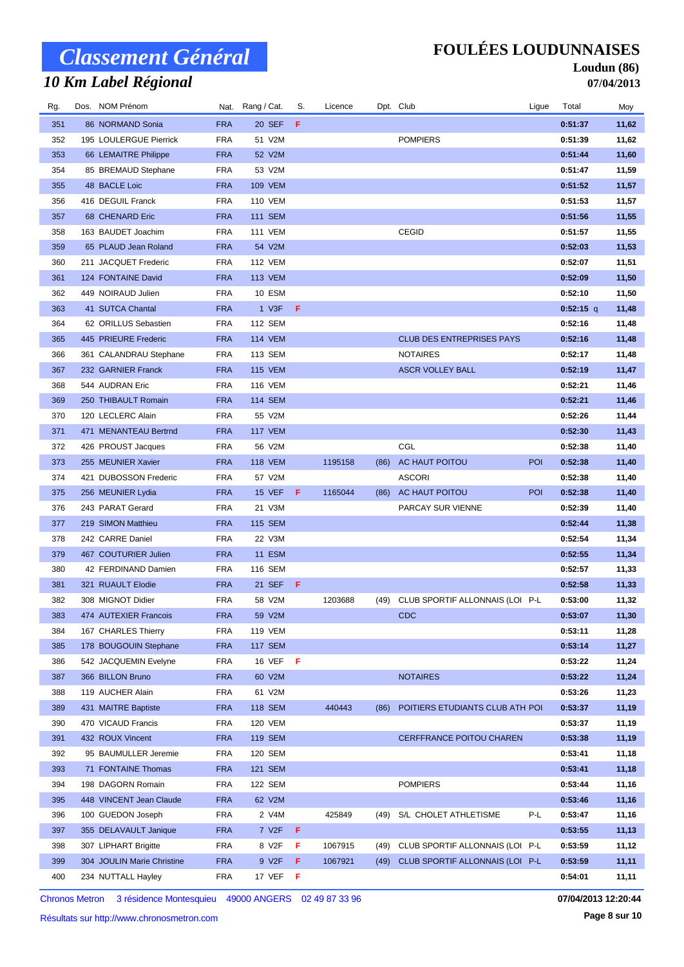# *10 Km Label Régional*

### **FOULÉES LOUDUNNAISES**

#### **Loudun (86) 07/04/2013**

| Rg. | Dos. NOM Prénom            |            | Nat. Rang / Cat.   | S.  | Licence |      | Dpt. Club                        | Ligue | Total       | Moy   |
|-----|----------------------------|------------|--------------------|-----|---------|------|----------------------------------|-------|-------------|-------|
| 351 | 86 NORMAND Sonia           | <b>FRA</b> | 20 SEF             | F   |         |      |                                  |       | 0:51:37     | 11,62 |
| 352 | 195 LOULERGUE Pierrick     | <b>FRA</b> | 51 V2M             |     |         |      | <b>POMPIERS</b>                  |       | 0:51:39     | 11,62 |
| 353 | 66 LEMAITRE Philippe       | <b>FRA</b> | 52 V2M             |     |         |      |                                  |       | 0:51:44     | 11,60 |
| 354 | 85 BREMAUD Stephane        | <b>FRA</b> | 53 V2M             |     |         |      |                                  |       | 0:51:47     | 11,59 |
| 355 | 48 BACLE Loic              | <b>FRA</b> | <b>109 VEM</b>     |     |         |      |                                  |       | 0:51:52     | 11,57 |
| 356 | 416 DEGUIL Franck          | <b>FRA</b> | <b>110 VEM</b>     |     |         |      |                                  |       | 0:51:53     | 11,57 |
| 357 | 68 CHENARD Eric            | <b>FRA</b> | <b>111 SEM</b>     |     |         |      |                                  |       | 0:51:56     | 11,55 |
| 358 | 163 BAUDET Joachim         | <b>FRA</b> | <b>111 VEM</b>     |     |         |      | <b>CEGID</b>                     |       | 0:51:57     | 11,55 |
| 359 | 65 PLAUD Jean Roland       | <b>FRA</b> | 54 V2M             |     |         |      |                                  |       | 0:52:03     | 11,53 |
| 360 | 211 JACQUET Frederic       | <b>FRA</b> | <b>112 VEM</b>     |     |         |      |                                  |       | 0:52:07     | 11,51 |
| 361 | 124 FONTAINE David         | <b>FRA</b> | <b>113 VEM</b>     |     |         |      |                                  |       | 0:52:09     | 11,50 |
| 362 | 449 NOIRAUD Julien         | <b>FRA</b> | 10 ESM             |     |         |      |                                  |       | 0:52:10     | 11,50 |
| 363 | 41 SUTCA Chantal           | <b>FRA</b> | 1 V3F              | F   |         |      |                                  |       | $0:52:15$ q | 11,48 |
| 364 | 62 ORILLUS Sebastien       | <b>FRA</b> | 112 SEM            |     |         |      |                                  |       | 0:52:16     | 11,48 |
| 365 | 445 PRIEURE Frederic       | <b>FRA</b> | <b>114 VEM</b>     |     |         |      | <b>CLUB DES ENTREPRISES PAYS</b> |       | 0:52:16     | 11,48 |
| 366 | 361 CALANDRAU Stephane     | <b>FRA</b> | 113 SEM            |     |         |      | <b>NOTAIRES</b>                  |       | 0:52:17     | 11,48 |
| 367 | 232 GARNIER Franck         | <b>FRA</b> | <b>115 VEM</b>     |     |         |      | <b>ASCR VOLLEY BALL</b>          |       | 0:52:19     | 11,47 |
| 368 | 544 AUDRAN Eric            | <b>FRA</b> | <b>116 VEM</b>     |     |         |      |                                  |       | 0:52:21     | 11,46 |
| 369 | 250 THIBAULT Romain        | <b>FRA</b> | <b>114 SEM</b>     |     |         |      |                                  |       | 0:52:21     | 11,46 |
| 370 | 120 LECLERC Alain          | <b>FRA</b> | 55 V2M             |     |         |      |                                  |       | 0:52:26     | 11,44 |
| 371 | 471 MENANTEAU Bertrnd      | <b>FRA</b> | <b>117 VEM</b>     |     |         |      |                                  |       | 0:52:30     | 11,43 |
| 372 | 426 PROUST Jacques         | <b>FRA</b> | 56 V2M             |     |         |      | CGL                              |       | 0:52:38     | 11,40 |
| 373 | 255 MEUNIER Xavier         | <b>FRA</b> | <b>118 VEM</b>     |     | 1195158 | (86) | AC HAUT POITOU                   | POI   | 0:52:38     | 11,40 |
| 374 | 421 DUBOSSON Frederic      | <b>FRA</b> | 57 V2M             |     |         |      | <b>ASCORI</b>                    |       | 0:52:38     | 11,40 |
| 375 | 256 MEUNIER Lydia          | <b>FRA</b> | 15 VEF             | - F | 1165044 | (86) | AC HAUT POITOU                   | POI   | 0:52:38     | 11,40 |
| 376 | 243 PARAT Gerard           | <b>FRA</b> | 21 V3M             |     |         |      | PARCAY SUR VIENNE                |       | 0:52:39     | 11,40 |
| 377 | 219 SIMON Matthieu         | <b>FRA</b> | <b>115 SEM</b>     |     |         |      |                                  |       | 0:52:44     | 11,38 |
| 378 | 242 CARRE Daniel           | <b>FRA</b> | 22 V3M             |     |         |      |                                  |       | 0:52:54     | 11,34 |
| 379 | 467 COUTURIER Julien       | <b>FRA</b> | <b>11 ESM</b>      |     |         |      |                                  |       | 0:52:55     | 11,34 |
| 380 | 42 FERDINAND Damien        | <b>FRA</b> | 116 SEM            |     |         |      |                                  |       | 0:52:57     | 11,33 |
| 381 | 321 RUAULT Elodie          | <b>FRA</b> | 21 SEF             | - F |         |      |                                  |       | 0:52:58     | 11,33 |
| 382 | 308 MIGNOT Didier          | <b>FRA</b> | 58 V2M             |     | 1203688 | (49) | CLUB SPORTIF ALLONNAIS (LOI P-L  |       | 0:53:00     | 11,32 |
| 383 | 474 AUTEXIER Francois      | <b>FRA</b> | 59 V2M             |     |         |      | CDC                              |       | 0:53:07     | 11,30 |
| 384 | 167 CHARLES Thierry        | <b>FRA</b> | 119 VEM            |     |         |      |                                  |       | 0:53:11     | 11,28 |
| 385 | 178 BOUGOUIN Stephane      | <b>FRA</b> | <b>117 SEM</b>     |     |         |      |                                  |       | 0:53:14     | 11,27 |
| 386 | 542 JACQUEMIN Evelyne      | <b>FRA</b> | 16 VEF             | - F |         |      |                                  |       | 0:53:22     | 11,24 |
| 387 | 366 BILLON Bruno           | <b>FRA</b> | 60 V2M             |     |         |      | <b>NOTAIRES</b>                  |       | 0:53:22     | 11,24 |
| 388 | 119 AUCHER Alain           | <b>FRA</b> | 61 V2M             |     |         |      |                                  |       | 0:53:26     | 11,23 |
| 389 | 431 MAITRE Baptiste        | <b>FRA</b> | <b>118 SEM</b>     |     | 440443  | (86) | POITIERS ETUDIANTS CLUB ATH POI  |       | 0:53:37     | 11,19 |
| 390 | 470 VICAUD Francis         | <b>FRA</b> | <b>120 VEM</b>     |     |         |      |                                  |       | 0:53:37     | 11,19 |
| 391 | 432 ROUX Vincent           | <b>FRA</b> | <b>119 SEM</b>     |     |         |      | <b>CERFFRANCE POITOU CHAREN</b>  |       | 0:53:38     | 11,19 |
| 392 | 95 BAUMULLER Jeremie       | <b>FRA</b> | 120 SEM            |     |         |      |                                  |       | 0:53:41     | 11,18 |
| 393 | 71 FONTAINE Thomas         | <b>FRA</b> | 121 SEM            |     |         |      |                                  |       | 0:53:41     | 11,18 |
| 394 | 198 DAGORN Romain          | <b>FRA</b> | 122 SEM            |     |         |      | <b>POMPIERS</b>                  |       | 0:53:44     | 11,16 |
| 395 | 448 VINCENT Jean Claude    | <b>FRA</b> | 62 V2M             |     |         |      |                                  |       | 0:53:46     | 11,16 |
| 396 | 100 GUEDON Joseph          | <b>FRA</b> | 2 V4M              |     | 425849  | (49) | S/L CHOLET ATHLETISME            | P-L   | 0:53:47     | 11,16 |
| 397 | 355 DELAVAULT Janique      | <b>FRA</b> | 7 V <sub>2</sub> F | F   |         |      |                                  |       | 0:53:55     | 11,13 |
| 398 | 307 LIPHART Brigitte       | <b>FRA</b> | 8 V2F              | F   | 1067915 | (49) | CLUB SPORTIF ALLONNAIS (LOI P-L  |       | 0:53:59     | 11,12 |
| 399 | 304 JOULIN Marie Christine | <b>FRA</b> | 9 V2F              | F   | 1067921 | (49) | CLUB SPORTIF ALLONNAIS (LOI P-L  |       | 0:53:59     | 11,11 |
| 400 | 234 NUTTALL Hayley         | <b>FRA</b> | 17 VEF             | - F |         |      |                                  |       | 0:54:01     | 11,11 |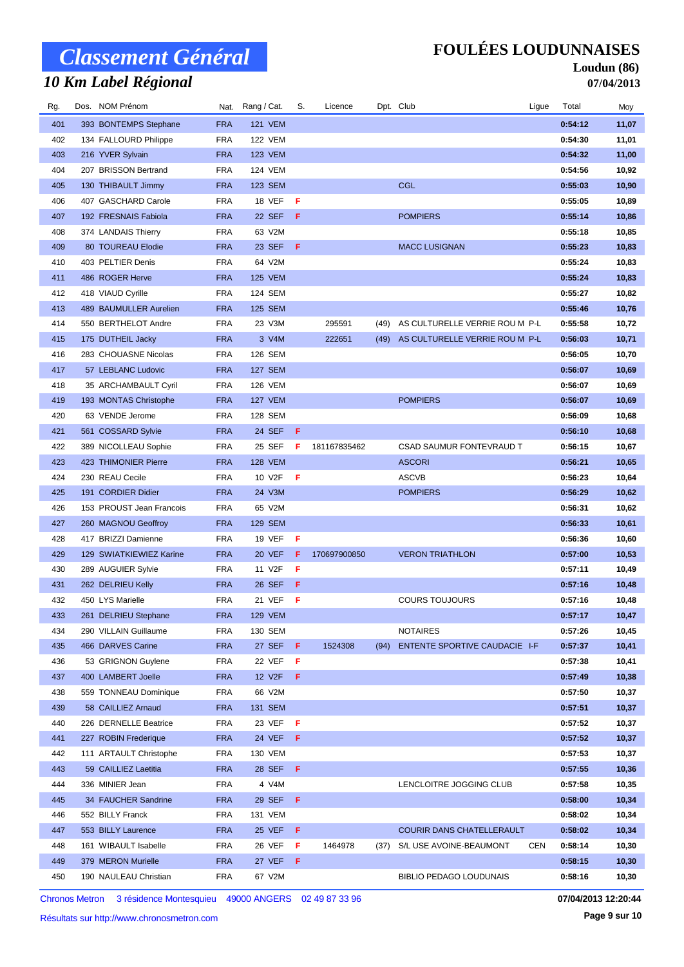# *10 Km Label Régional*

### **FOULÉES LOUDUNNAISES**

#### **Loudun (86) 07/04/2013**

| Rg.        | Dos. NOM Prénom                          |                          | Nat. Rang / Cat.         | S.     | Licence      |      | Dpt. Club                            | Ligue      | Total              | Moy            |
|------------|------------------------------------------|--------------------------|--------------------------|--------|--------------|------|--------------------------------------|------------|--------------------|----------------|
| 401        | 393 BONTEMPS Stephane                    | <b>FRA</b>               | <b>121 VEM</b>           |        |              |      |                                      |            | 0:54:12            | 11,07          |
| 402        | 134 FALLOURD Philippe                    | <b>FRA</b>               | <b>122 VEM</b>           |        |              |      |                                      |            | 0:54:30            | 11,01          |
| 403        | 216 YVER Sylvain                         | <b>FRA</b>               | <b>123 VEM</b>           |        |              |      |                                      |            | 0:54:32            | 11,00          |
| 404        | 207 BRISSON Bertrand                     | <b>FRA</b>               | 124 VEM                  |        |              |      |                                      |            | 0:54:56            | 10,92          |
| 405        | 130 THIBAULT Jimmy                       | <b>FRA</b>               | 123 SEM                  |        |              |      | <b>CGL</b>                           |            | 0:55:03            | 10,90          |
| 406        | 407 GASCHARD Carole                      | <b>FRA</b>               | 18 VEF                   | Æ      |              |      |                                      |            | 0:55:05            | 10,89          |
| 407        | 192 FRESNAIS Fabiola                     | <b>FRA</b>               | 22 SEF                   | F      |              |      | <b>POMPIERS</b>                      |            | 0:55:14            | 10,86          |
| 408        | 374 LANDAIS Thierry                      | <b>FRA</b>               | 63 V2M                   |        |              |      |                                      |            | 0:55:18            | 10,85          |
| 409        | 80 TOUREAU Elodie                        | <b>FRA</b>               | 23 SEF                   | F      |              |      | <b>MACC LUSIGNAN</b>                 |            | 0:55:23            | 10,83          |
| 410        | 403 PELTIER Denis                        | <b>FRA</b>               | 64 V2M                   |        |              |      |                                      |            | 0:55:24            | 10,83          |
| 411        | 486 ROGER Herve                          | <b>FRA</b>               | <b>125 VEM</b>           |        |              |      |                                      |            | 0:55:24            | 10,83          |
| 412        | 418 VIAUD Cyrille                        | <b>FRA</b>               | 124 SEM                  |        |              |      |                                      |            | 0:55:27            | 10,82          |
| 413        | 489 BAUMULLER Aurelien                   | <b>FRA</b>               | 125 SEM                  |        |              |      |                                      |            | 0:55:46            | 10,76          |
| 414        | 550 BERTHELOT Andre                      | <b>FRA</b>               | 23 V3M                   |        | 295591       | (49) | AS CULTURELLE VERRIE ROU M P-L       |            | 0:55:58            | 10,72          |
| 415        | 175 DUTHEIL Jacky                        | <b>FRA</b>               | 3 V4M                    |        | 222651       | (49) | AS CULTURELLE VERRIE ROU M P-L       |            | 0:56:03            | 10,71          |
| 416        | 283 CHOUASNE Nicolas                     | <b>FRA</b>               | 126 SEM                  |        |              |      |                                      |            | 0:56:05            | 10,70          |
| 417        | 57 LEBLANC Ludovic                       | <b>FRA</b>               | <b>127 SEM</b>           |        |              |      |                                      |            | 0:56:07            | 10,69          |
| 418        | 35 ARCHAMBAULT Cyril                     | <b>FRA</b>               | <b>126 VEM</b>           |        |              |      |                                      |            | 0:56:07            | 10,69          |
| 419        | 193 MONTAS Christophe                    | <b>FRA</b>               | <b>127 VEM</b>           |        |              |      | <b>POMPIERS</b>                      |            | 0:56:07            | 10,69          |
| 420        | 63 VENDE Jerome                          | <b>FRA</b>               | 128 SEM                  |        |              |      |                                      |            | 0:56:09            | 10,68          |
| 421        | 561 COSSARD Sylvie                       | <b>FRA</b>               | 24 SEF                   | F.     |              |      |                                      |            | 0:56:10            | 10,68          |
| 422        | 389 NICOLLEAU Sophie                     | <b>FRA</b>               | 25 SEF                   | -F     | 181167835462 |      | CSAD SAUMUR FONTEVRAUD T             |            | 0:56:15            | 10,67          |
| 423        | 423 THIMONIER Pierre                     | <b>FRA</b>               | <b>128 VEM</b>           |        |              |      | <b>ASCORI</b>                        |            | 0:56:21            | 10,65          |
| 424        | 230 REAU Cecile                          | <b>FRA</b>               | 10 V2F                   | F      |              |      | <b>ASCVB</b>                         |            | 0:56:23            | 10,64          |
| 425        | 191 CORDIER Didier                       | <b>FRA</b>               | 24 V3M                   |        |              |      | <b>POMPIERS</b>                      |            | 0:56:29            | 10,62          |
| 426        | 153 PROUST Jean Francois                 | <b>FRA</b>               | 65 V2M                   |        |              |      |                                      |            | 0:56:31            | 10,62          |
| 427        | 260 MAGNOU Geoffroy                      | <b>FRA</b>               | <b>129 SEM</b>           |        |              |      |                                      |            | 0:56:33            | 10,61          |
| 428        | 417 BRIZZI Damienne                      | <b>FRA</b>               | <b>19 VEF</b>            | F      |              |      |                                      |            | 0:56:36            | 10,60          |
| 429        | 129 SWIATKIEWIEZ Karine                  | <b>FRA</b>               | 20 VEF                   | F      | 170697900850 |      | <b>VERON TRIATHLON</b>               |            | 0:57:00            | 10,53          |
| 430        | 289 AUGUIER Sylvie                       | <b>FRA</b>               | 11 V2F                   | F      |              |      |                                      |            | 0:57:11            | 10,49          |
| 431<br>432 | 262 DELRIEU Kelly                        | <b>FRA</b>               | 26 SEF                   | F<br>F |              |      |                                      |            | 0:57:16            | 10,48          |
| 433        | 450 LYS Marielle<br>261 DELRIEU Stephane | <b>FRA</b><br><b>FRA</b> | 21 VEF<br><b>129 VEM</b> |        |              |      | <b>COURS TOUJOURS</b>                |            | 0:57:16<br>0:57:17 | 10,48<br>10,47 |
| 434        | 290 VILLAIN Guillaume                    | <b>FRA</b>               | 130 SEM                  |        |              |      | <b>NOTAIRES</b>                      |            | 0:57:26            | 10,45          |
| 435        | 466 DARVES Carine                        | <b>FRA</b>               | 27 SEF                   | F      | 1524308      | (94) | <b>ENTENTE SPORTIVE CAUDACIE I-F</b> |            | 0:57:37            | 10,41          |
| 436        | 53 GRIGNON Guylene                       | <b>FRA</b>               | 22 VEF                   | F      |              |      |                                      |            | 0:57:38            | 10,41          |
| 437        | 400 LAMBERT Joelle                       | <b>FRA</b>               | 12 V2F                   | F      |              |      |                                      |            | 0:57:49            | 10,38          |
| 438        | 559 TONNEAU Dominique                    | <b>FRA</b>               | 66 V2M                   |        |              |      |                                      |            | 0:57:50            | 10,37          |
| 439        | 58 CAILLIEZ Arnaud                       | <b>FRA</b>               | 131 SEM                  |        |              |      |                                      |            | 0:57:51            | 10,37          |
| 440        | 226 DERNELLE Beatrice                    | <b>FRA</b>               | 23 VEF                   | - F    |              |      |                                      |            | 0:57:52            | 10,37          |
| 441        | 227 ROBIN Frederique                     | <b>FRA</b>               | 24 VEF                   | F      |              |      |                                      |            | 0:57:52            | 10,37          |
| 442        | 111 ARTAULT Christophe                   | <b>FRA</b>               | 130 VEM                  |        |              |      |                                      |            | 0:57:53            | 10,37          |
| 443        | 59 CAILLIEZ Laetitia                     | <b>FRA</b>               | 28 SEF                   | F      |              |      |                                      |            | 0:57:55            | 10,36          |
| 444        | 336 MINIER Jean                          | <b>FRA</b>               | 4 V4M                    |        |              |      | LENCLOITRE JOGGING CLUB              |            | 0:57:58            | 10,35          |
| 445        | 34 FAUCHER Sandrine                      | <b>FRA</b>               | 29 SEF                   | F      |              |      |                                      |            | 0:58:00            | 10,34          |
| 446        | 552 BILLY Franck                         | <b>FRA</b>               | 131 VEM                  |        |              |      |                                      |            | 0:58:02            | 10,34          |
| 447        | 553 BILLY Laurence                       | <b>FRA</b>               | 25 VEF                   | F      |              |      | COURIR DANS CHATELLERAULT            |            | 0:58:02            | 10,34          |
| 448        | 161 WIBAULT Isabelle                     | <b>FRA</b>               | 26 VEF                   | F      | 1464978      | (37) | S/L USE AVOINE-BEAUMONT              | <b>CEN</b> | 0:58:14            | 10,30          |
| 449        | 379 MERON Murielle                       | <b>FRA</b>               | 27 VEF                   | F      |              |      |                                      |            | 0:58:15            | 10,30          |
| 450        | 190 NAULEAU Christian                    | FRA                      | 67 V2M                   |        |              |      | <b>BIBLIO PEDAGO LOUDUNAIS</b>       |            | 0:58:16            | 10,30          |